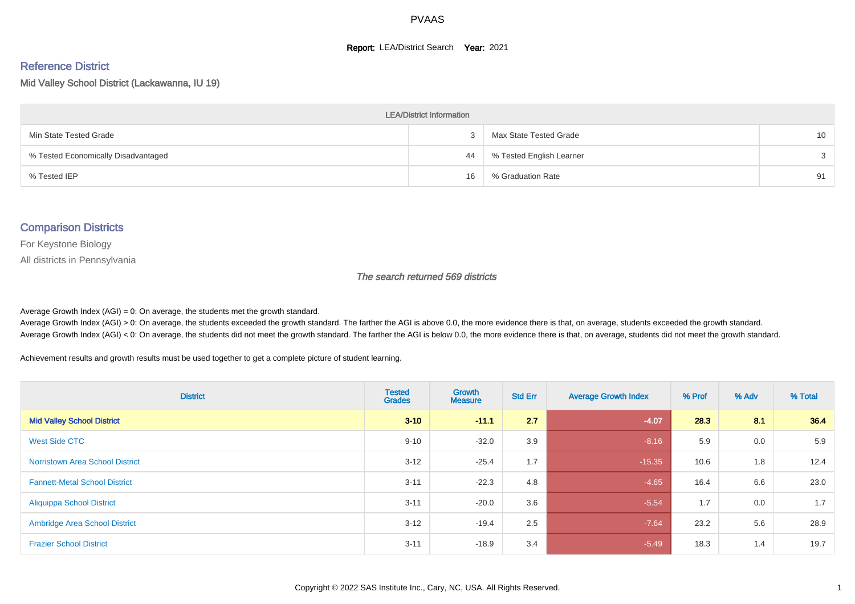#### **Report: LEA/District Search Year: 2021**

# Reference District

Mid Valley School District (Lackawanna, IU 19)

| <b>LEA/District Information</b>     |    |                          |                 |  |  |  |  |  |  |
|-------------------------------------|----|--------------------------|-----------------|--|--|--|--|--|--|
| Min State Tested Grade              |    | Max State Tested Grade   | 10 <sup>1</sup> |  |  |  |  |  |  |
| % Tested Economically Disadvantaged | 44 | % Tested English Learner | $\mathcal{S}$   |  |  |  |  |  |  |
| % Tested IEP                        | 16 | % Graduation Rate        | 91              |  |  |  |  |  |  |

#### Comparison Districts

For Keystone Biology

All districts in Pennsylvania

The search returned 569 districts

Average Growth Index  $(AGI) = 0$ : On average, the students met the growth standard.

Average Growth Index (AGI) > 0: On average, the students exceeded the growth standard. The farther the AGI is above 0.0, the more evidence there is that, on average, students exceeded the growth standard. Average Growth Index (AGI) < 0: On average, the students did not meet the growth standard. The farther the AGI is below 0.0, the more evidence there is that, on average, students did not meet the growth standard.

Achievement results and growth results must be used together to get a complete picture of student learning.

| <b>District</b>                        | <b>Tested</b><br><b>Grades</b> | Growth<br><b>Measure</b> | <b>Std Err</b> | <b>Average Growth Index</b> | % Prof | % Adv | % Total |
|----------------------------------------|--------------------------------|--------------------------|----------------|-----------------------------|--------|-------|---------|
| <b>Mid Valley School District</b>      | $3 - 10$                       | $-11.1$                  | 2.7            | $-4.07$                     | 28.3   | 8.1   | 36.4    |
| West Side CTC                          | $9 - 10$                       | $-32.0$                  | 3.9            | $-8.16$                     | 5.9    | 0.0   | 5.9     |
| <b>Norristown Area School District</b> | $3 - 12$                       | $-25.4$                  | 1.7            | $-15.35$                    | 10.6   | 1.8   | 12.4    |
| <b>Fannett-Metal School District</b>   | $3 - 11$                       | $-22.3$                  | 4.8            | $-4.65$                     | 16.4   | 6.6   | 23.0    |
| <b>Aliquippa School District</b>       | $3 - 11$                       | $-20.0$                  | 3.6            | $-5.54$                     | 1.7    | 0.0   | 1.7     |
| <b>Ambridge Area School District</b>   | $3 - 12$                       | $-19.4$                  | 2.5            | $-7.64$                     | 23.2   | 5.6   | 28.9    |
| <b>Frazier School District</b>         | $3 - 11$                       | $-18.9$                  | 3.4            | $-5.49$                     | 18.3   | 1.4   | 19.7    |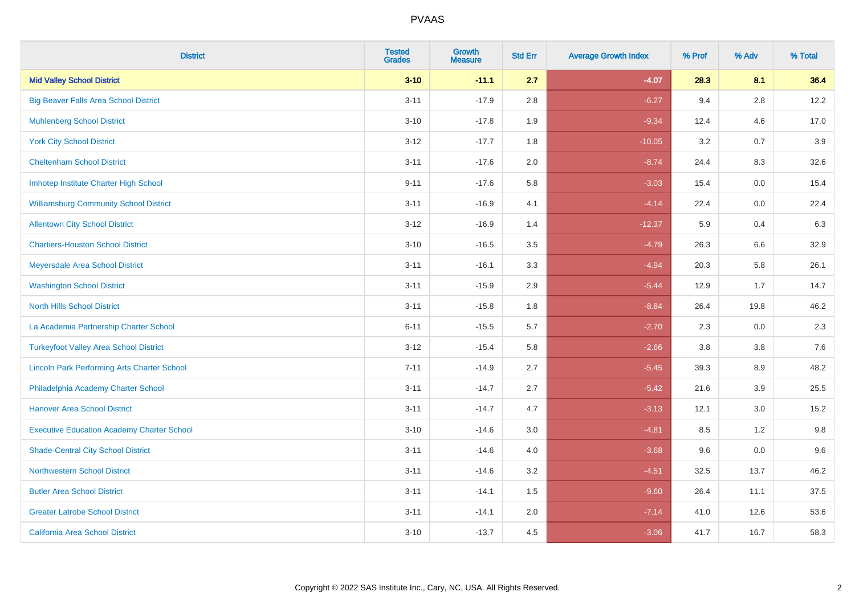| <b>District</b>                                    | <b>Tested</b><br><b>Grades</b> | <b>Growth</b><br><b>Measure</b> | <b>Std Err</b> | <b>Average Growth Index</b> | % Prof | % Adv   | % Total |
|----------------------------------------------------|--------------------------------|---------------------------------|----------------|-----------------------------|--------|---------|---------|
| <b>Mid Valley School District</b>                  | $3 - 10$                       | $-11.1$                         | 2.7            | $-4.07$                     | 28.3   | 8.1     | 36.4    |
| <b>Big Beaver Falls Area School District</b>       | $3 - 11$                       | $-17.9$                         | 2.8            | $-6.27$                     | 9.4    | 2.8     | 12.2    |
| <b>Muhlenberg School District</b>                  | $3 - 10$                       | $-17.8$                         | 1.9            | $-9.34$                     | 12.4   | 4.6     | 17.0    |
| <b>York City School District</b>                   | $3-12$                         | $-17.7$                         | 1.8            | $-10.05$                    | 3.2    | 0.7     | 3.9     |
| <b>Cheltenham School District</b>                  | $3 - 11$                       | $-17.6$                         | 2.0            | $-8.74$                     | 24.4   | 8.3     | 32.6    |
| Imhotep Institute Charter High School              | $9 - 11$                       | $-17.6$                         | 5.8            | $-3.03$                     | 15.4   | 0.0     | 15.4    |
| <b>Williamsburg Community School District</b>      | $3 - 11$                       | $-16.9$                         | 4.1            | $-4.14$                     | 22.4   | $0.0\,$ | 22.4    |
| <b>Allentown City School District</b>              | $3 - 12$                       | $-16.9$                         | 1.4            | $-12.37$                    | 5.9    | 0.4     | 6.3     |
| <b>Chartiers-Houston School District</b>           | $3 - 10$                       | $-16.5$                         | 3.5            | $-4.79$                     | 26.3   | 6.6     | 32.9    |
| Meyersdale Area School District                    | $3 - 11$                       | $-16.1$                         | 3.3            | $-4.94$                     | 20.3   | 5.8     | 26.1    |
| <b>Washington School District</b>                  | $3 - 11$                       | $-15.9$                         | 2.9            | $-5.44$                     | 12.9   | 1.7     | 14.7    |
| <b>North Hills School District</b>                 | $3 - 11$                       | $-15.8$                         | 1.8            | $-8.84$                     | 26.4   | 19.8    | 46.2    |
| La Academia Partnership Charter School             | $6 - 11$                       | $-15.5$                         | 5.7            | $-2.70$                     | 2.3    | 0.0     | 2.3     |
| <b>Turkeyfoot Valley Area School District</b>      | $3 - 12$                       | $-15.4$                         | 5.8            | $-2.66$                     | 3.8    | $3.8\,$ | 7.6     |
| <b>Lincoln Park Performing Arts Charter School</b> | $7 - 11$                       | $-14.9$                         | 2.7            | $-5.45$                     | 39.3   | 8.9     | 48.2    |
| Philadelphia Academy Charter School                | $3 - 11$                       | $-14.7$                         | 2.7            | $-5.42$                     | 21.6   | 3.9     | 25.5    |
| <b>Hanover Area School District</b>                | $3 - 11$                       | $-14.7$                         | 4.7            | $-3.13$                     | 12.1   | 3.0     | 15.2    |
| <b>Executive Education Academy Charter School</b>  | $3 - 10$                       | $-14.6$                         | 3.0            | $-4.81$                     | 8.5    | $1.2$   | 9.8     |
| <b>Shade-Central City School District</b>          | $3 - 11$                       | $-14.6$                         | 4.0            | $-3.68$                     | 9.6    | 0.0     | 9.6     |
| <b>Northwestern School District</b>                | $3 - 11$                       | $-14.6$                         | 3.2            | $-4.51$                     | 32.5   | 13.7    | 46.2    |
| <b>Butler Area School District</b>                 | $3 - 11$                       | $-14.1$                         | 1.5            | $-9.60$                     | 26.4   | 11.1    | 37.5    |
| <b>Greater Latrobe School District</b>             | $3 - 11$                       | $-14.1$                         | 2.0            | $-7.14$                     | 41.0   | 12.6    | 53.6    |
| <b>California Area School District</b>             | $3 - 10$                       | $-13.7$                         | 4.5            | $-3.06$                     | 41.7   | 16.7    | 58.3    |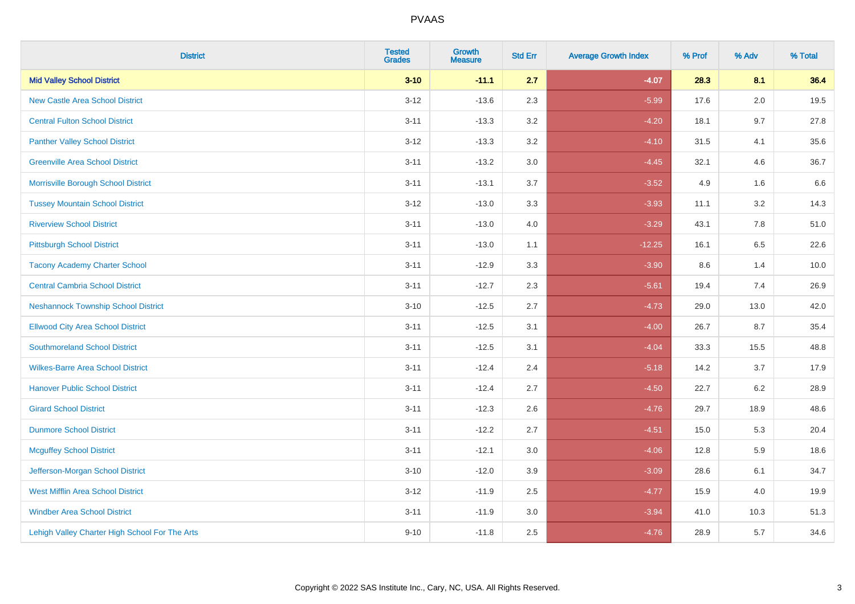| <b>District</b>                                | <b>Tested</b><br><b>Grades</b> | Growth<br><b>Measure</b> | <b>Std Err</b> | <b>Average Growth Index</b> | % Prof | % Adv   | % Total |
|------------------------------------------------|--------------------------------|--------------------------|----------------|-----------------------------|--------|---------|---------|
| <b>Mid Valley School District</b>              | $3 - 10$                       | $-11.1$                  | 2.7            | $-4.07$                     | 28.3   | 8.1     | 36.4    |
| <b>New Castle Area School District</b>         | $3 - 12$                       | $-13.6$                  | 2.3            | $-5.99$                     | 17.6   | 2.0     | 19.5    |
| <b>Central Fulton School District</b>          | $3 - 11$                       | $-13.3$                  | 3.2            | $-4.20$                     | 18.1   | 9.7     | 27.8    |
| <b>Panther Valley School District</b>          | $3-12$                         | $-13.3$                  | 3.2            | $-4.10$                     | 31.5   | 4.1     | 35.6    |
| <b>Greenville Area School District</b>         | $3 - 11$                       | $-13.2$                  | 3.0            | $-4.45$                     | 32.1   | 4.6     | 36.7    |
| Morrisville Borough School District            | $3 - 11$                       | $-13.1$                  | 3.7            | $-3.52$                     | 4.9    | 1.6     | 6.6     |
| <b>Tussey Mountain School District</b>         | $3 - 12$                       | $-13.0$                  | 3.3            | $-3.93$                     | 11.1   | $3.2\,$ | 14.3    |
| <b>Riverview School District</b>               | $3 - 11$                       | $-13.0$                  | 4.0            | $-3.29$                     | 43.1   | 7.8     | 51.0    |
| <b>Pittsburgh School District</b>              | $3 - 11$                       | $-13.0$                  | 1.1            | $-12.25$                    | 16.1   | 6.5     | 22.6    |
| <b>Tacony Academy Charter School</b>           | $3 - 11$                       | $-12.9$                  | 3.3            | $-3.90$                     | 8.6    | 1.4     | 10.0    |
| <b>Central Cambria School District</b>         | $3 - 11$                       | $-12.7$                  | 2.3            | $-5.61$                     | 19.4   | 7.4     | 26.9    |
| <b>Neshannock Township School District</b>     | $3 - 10$                       | $-12.5$                  | 2.7            | $-4.73$                     | 29.0   | 13.0    | 42.0    |
| <b>Ellwood City Area School District</b>       | $3 - 11$                       | $-12.5$                  | 3.1            | $-4.00$                     | 26.7   | 8.7     | 35.4    |
| <b>Southmoreland School District</b>           | $3 - 11$                       | $-12.5$                  | 3.1            | $-4.04$                     | 33.3   | 15.5    | 48.8    |
| <b>Wilkes-Barre Area School District</b>       | $3 - 11$                       | $-12.4$                  | 2.4            | $-5.18$                     | 14.2   | 3.7     | 17.9    |
| <b>Hanover Public School District</b>          | $3 - 11$                       | $-12.4$                  | 2.7            | $-4.50$                     | 22.7   | 6.2     | 28.9    |
| <b>Girard School District</b>                  | $3 - 11$                       | $-12.3$                  | 2.6            | $-4.76$                     | 29.7   | 18.9    | 48.6    |
| <b>Dunmore School District</b>                 | $3 - 11$                       | $-12.2$                  | 2.7            | $-4.51$                     | 15.0   | 5.3     | 20.4    |
| <b>Mcguffey School District</b>                | $3 - 11$                       | $-12.1$                  | 3.0            | $-4.06$                     | 12.8   | 5.9     | 18.6    |
| Jefferson-Morgan School District               | $3 - 10$                       | $-12.0$                  | 3.9            | $-3.09$                     | 28.6   | 6.1     | 34.7    |
| West Mifflin Area School District              | $3-12$                         | $-11.9$                  | 2.5            | $-4.77$                     | 15.9   | 4.0     | 19.9    |
| <b>Windber Area School District</b>            | $3 - 11$                       | $-11.9$                  | 3.0            | $-3.94$                     | 41.0   | 10.3    | 51.3    |
| Lehigh Valley Charter High School For The Arts | $9 - 10$                       | $-11.8$                  | 2.5            | $-4.76$                     | 28.9   | 5.7     | 34.6    |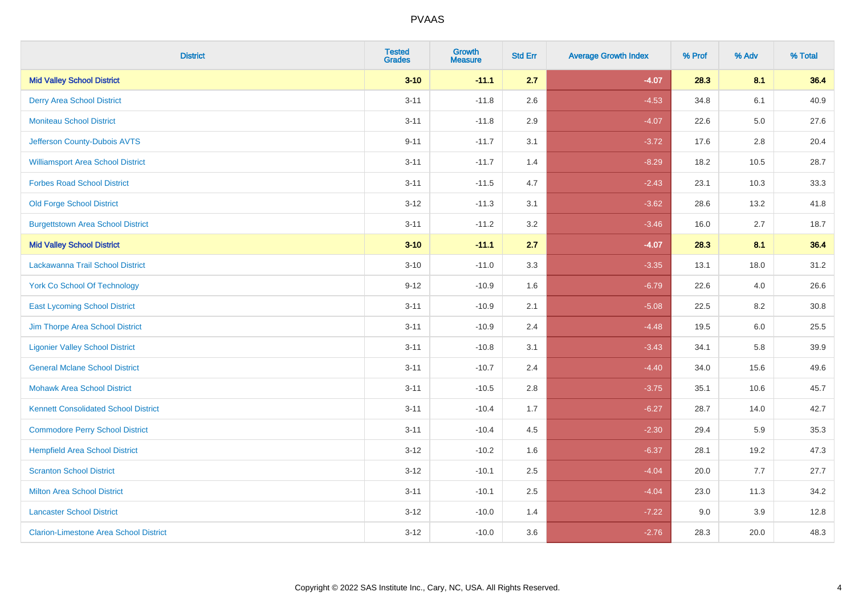| <b>District</b>                               | <b>Tested</b><br><b>Grades</b> | Growth<br><b>Measure</b> | <b>Std Err</b> | <b>Average Growth Index</b> | % Prof | % Adv   | % Total |
|-----------------------------------------------|--------------------------------|--------------------------|----------------|-----------------------------|--------|---------|---------|
| <b>Mid Valley School District</b>             | $3 - 10$                       | $-11.1$                  | 2.7            | $-4.07$                     | 28.3   | 8.1     | 36.4    |
| <b>Derry Area School District</b>             | $3 - 11$                       | $-11.8$                  | 2.6            | $-4.53$                     | 34.8   | 6.1     | 40.9    |
| <b>Moniteau School District</b>               | $3 - 11$                       | $-11.8$                  | 2.9            | $-4.07$                     | 22.6   | $5.0\,$ | 27.6    |
| Jefferson County-Dubois AVTS                  | $9 - 11$                       | $-11.7$                  | 3.1            | $-3.72$                     | 17.6   | $2.8\,$ | 20.4    |
| <b>Williamsport Area School District</b>      | $3 - 11$                       | $-11.7$                  | 1.4            | $-8.29$                     | 18.2   | 10.5    | 28.7    |
| <b>Forbes Road School District</b>            | $3 - 11$                       | $-11.5$                  | 4.7            | $-2.43$                     | 23.1   | 10.3    | 33.3    |
| <b>Old Forge School District</b>              | $3 - 12$                       | $-11.3$                  | 3.1            | $-3.62$                     | 28.6   | 13.2    | 41.8    |
| <b>Burgettstown Area School District</b>      | $3 - 11$                       | $-11.2$                  | 3.2            | $-3.46$                     | 16.0   | 2.7     | 18.7    |
| <b>Mid Valley School District</b>             | $3 - 10$                       | $-11.1$                  | 2.7            | $-4.07$                     | 28.3   | 8.1     | 36.4    |
| Lackawanna Trail School District              | $3 - 10$                       | $-11.0$                  | 3.3            | $-3.35$                     | 13.1   | 18.0    | 31.2    |
| <b>York Co School Of Technology</b>           | $9 - 12$                       | $-10.9$                  | 1.6            | $-6.79$                     | 22.6   | 4.0     | 26.6    |
| <b>East Lycoming School District</b>          | $3 - 11$                       | $-10.9$                  | 2.1            | $-5.08$                     | 22.5   | 8.2     | 30.8    |
| Jim Thorpe Area School District               | $3 - 11$                       | $-10.9$                  | 2.4            | $-4.48$                     | 19.5   | 6.0     | 25.5    |
| <b>Ligonier Valley School District</b>        | $3 - 11$                       | $-10.8$                  | 3.1            | $-3.43$                     | 34.1   | 5.8     | 39.9    |
| <b>General Mclane School District</b>         | $3 - 11$                       | $-10.7$                  | 2.4            | $-4.40$                     | 34.0   | 15.6    | 49.6    |
| <b>Mohawk Area School District</b>            | $3 - 11$                       | $-10.5$                  | 2.8            | $-3.75$                     | 35.1   | 10.6    | 45.7    |
| <b>Kennett Consolidated School District</b>   | $3 - 11$                       | $-10.4$                  | 1.7            | $-6.27$                     | 28.7   | 14.0    | 42.7    |
| <b>Commodore Perry School District</b>        | $3 - 11$                       | $-10.4$                  | 4.5            | $-2.30$                     | 29.4   | 5.9     | 35.3    |
| <b>Hempfield Area School District</b>         | $3 - 12$                       | $-10.2$                  | 1.6            | $-6.37$                     | 28.1   | 19.2    | 47.3    |
| <b>Scranton School District</b>               | $3 - 12$                       | $-10.1$                  | 2.5            | $-4.04$                     | 20.0   | 7.7     | 27.7    |
| <b>Milton Area School District</b>            | $3 - 11$                       | $-10.1$                  | 2.5            | $-4.04$                     | 23.0   | 11.3    | 34.2    |
| <b>Lancaster School District</b>              | $3 - 12$                       | $-10.0$                  | 1.4            | $-7.22$                     | 9.0    | 3.9     | 12.8    |
| <b>Clarion-Limestone Area School District</b> | $3 - 12$                       | $-10.0$                  | 3.6            | $-2.76$                     | 28.3   | 20.0    | 48.3    |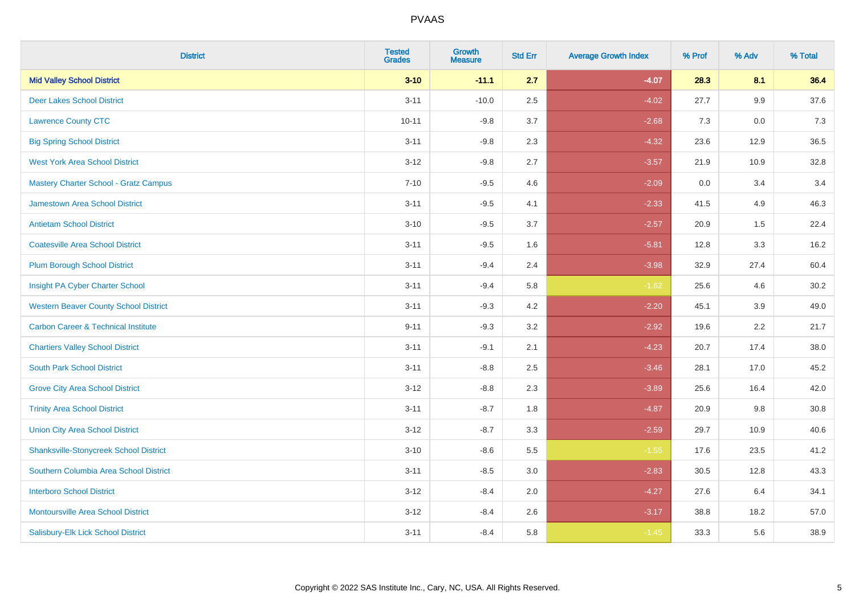| <b>District</b>                                | <b>Tested</b><br><b>Grades</b> | Growth<br><b>Measure</b> | <b>Std Err</b> | <b>Average Growth Index</b> | % Prof | % Adv | % Total |
|------------------------------------------------|--------------------------------|--------------------------|----------------|-----------------------------|--------|-------|---------|
| <b>Mid Valley School District</b>              | $3 - 10$                       | $-11.1$                  | 2.7            | $-4.07$                     | 28.3   | 8.1   | 36.4    |
| <b>Deer Lakes School District</b>              | $3 - 11$                       | $-10.0$                  | 2.5            | $-4.02$                     | 27.7   | 9.9   | 37.6    |
| <b>Lawrence County CTC</b>                     | $10 - 11$                      | $-9.8$                   | 3.7            | $-2.68$                     | 7.3    | 0.0   | 7.3     |
| <b>Big Spring School District</b>              | $3 - 11$                       | $-9.8$                   | 2.3            | $-4.32$                     | 23.6   | 12.9  | 36.5    |
| <b>West York Area School District</b>          | $3 - 12$                       | $-9.8$                   | 2.7            | $-3.57$                     | 21.9   | 10.9  | 32.8    |
| <b>Mastery Charter School - Gratz Campus</b>   | $7 - 10$                       | $-9.5$                   | 4.6            | $-2.09$                     | 0.0    | 3.4   | 3.4     |
| Jamestown Area School District                 | $3 - 11$                       | $-9.5$                   | 4.1            | $-2.33$                     | 41.5   | 4.9   | 46.3    |
| <b>Antietam School District</b>                | $3 - 10$                       | $-9.5$                   | 3.7            | $-2.57$                     | 20.9   | 1.5   | 22.4    |
| <b>Coatesville Area School District</b>        | $3 - 11$                       | $-9.5$                   | 1.6            | $-5.81$                     | 12.8   | 3.3   | 16.2    |
| <b>Plum Borough School District</b>            | $3 - 11$                       | $-9.4$                   | 2.4            | $-3.98$                     | 32.9   | 27.4  | 60.4    |
| Insight PA Cyber Charter School                | $3 - 11$                       | $-9.4$                   | 5.8            | $-1.62$                     | 25.6   | 4.6   | 30.2    |
| <b>Western Beaver County School District</b>   | $3 - 11$                       | $-9.3$                   | 4.2            | $-2.20$                     | 45.1   | 3.9   | 49.0    |
| <b>Carbon Career &amp; Technical Institute</b> | $9 - 11$                       | $-9.3$                   | 3.2            | $-2.92$                     | 19.6   | 2.2   | 21.7    |
| <b>Chartiers Valley School District</b>        | $3 - 11$                       | $-9.1$                   | 2.1            | $-4.23$                     | 20.7   | 17.4  | 38.0    |
| <b>South Park School District</b>              | $3 - 11$                       | $-8.8$                   | 2.5            | $-3.46$                     | 28.1   | 17.0  | 45.2    |
| <b>Grove City Area School District</b>         | $3 - 12$                       | $-8.8$                   | 2.3            | $-3.89$                     | 25.6   | 16.4  | 42.0    |
| <b>Trinity Area School District</b>            | $3 - 11$                       | $-8.7$                   | 1.8            | $-4.87$                     | 20.9   | 9.8   | 30.8    |
| <b>Union City Area School District</b>         | $3 - 12$                       | $-8.7$                   | 3.3            | $-2.59$                     | 29.7   | 10.9  | 40.6    |
| <b>Shanksville-Stonycreek School District</b>  | $3 - 10$                       | $-8.6$                   | 5.5            | $-1.55$                     | 17.6   | 23.5  | 41.2    |
| Southern Columbia Area School District         | $3 - 11$                       | $-8.5$                   | 3.0            | $-2.83$                     | 30.5   | 12.8  | 43.3    |
| <b>Interboro School District</b>               | $3 - 12$                       | $-8.4$                   | 2.0            | $-4.27$                     | 27.6   | 6.4   | 34.1    |
| <b>Montoursville Area School District</b>      | $3 - 12$                       | $-8.4$                   | 2.6            | $-3.17$                     | 38.8   | 18.2  | 57.0    |
| Salisbury-Elk Lick School District             | $3 - 11$                       | $-8.4$                   | 5.8            | $-1.45$                     | 33.3   | 5.6   | 38.9    |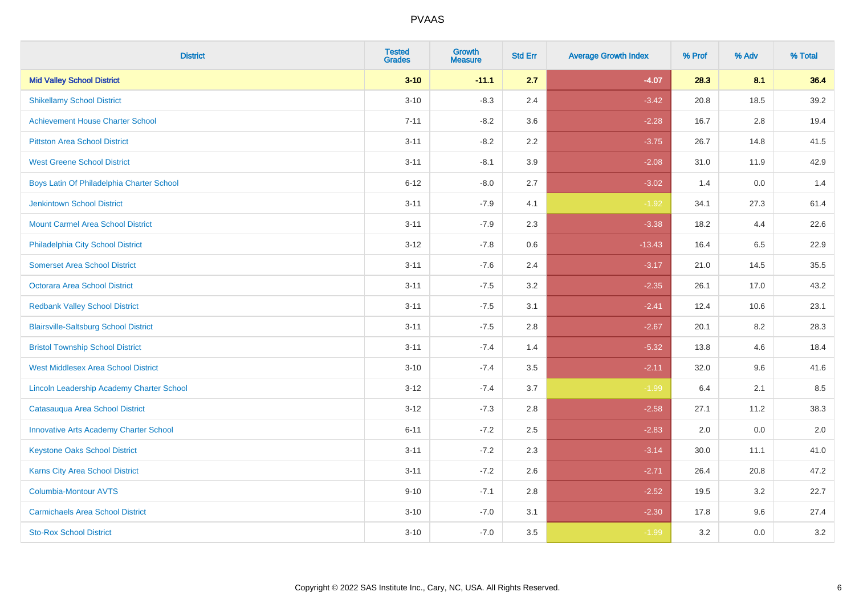| <b>District</b>                               | <b>Tested</b><br><b>Grades</b> | Growth<br><b>Measure</b> | <b>Std Err</b> | <b>Average Growth Index</b> | % Prof | % Adv   | % Total |
|-----------------------------------------------|--------------------------------|--------------------------|----------------|-----------------------------|--------|---------|---------|
| <b>Mid Valley School District</b>             | $3 - 10$                       | $-11.1$                  | 2.7            | $-4.07$                     | 28.3   | 8.1     | 36.4    |
| <b>Shikellamy School District</b>             | $3 - 10$                       | $-8.3$                   | 2.4            | $-3.42$                     | 20.8   | 18.5    | 39.2    |
| <b>Achievement House Charter School</b>       | $7 - 11$                       | $-8.2$                   | 3.6            | $-2.28$                     | 16.7   | 2.8     | 19.4    |
| <b>Pittston Area School District</b>          | $3 - 11$                       | $-8.2$                   | 2.2            | $-3.75$                     | 26.7   | 14.8    | 41.5    |
| <b>West Greene School District</b>            | $3 - 11$                       | $-8.1$                   | 3.9            | $-2.08$                     | 31.0   | 11.9    | 42.9    |
| Boys Latin Of Philadelphia Charter School     | $6 - 12$                       | $-8.0$                   | 2.7            | $-3.02$                     | 1.4    | 0.0     | 1.4     |
| Jenkintown School District                    | $3 - 11$                       | $-7.9$                   | 4.1            | $-1.92$                     | 34.1   | 27.3    | 61.4    |
| <b>Mount Carmel Area School District</b>      | $3 - 11$                       | $-7.9$                   | 2.3            | $-3.38$                     | 18.2   | 4.4     | 22.6    |
| Philadelphia City School District             | $3 - 12$                       | $-7.8$                   | 0.6            | $-13.43$                    | 16.4   | 6.5     | 22.9    |
| <b>Somerset Area School District</b>          | $3 - 11$                       | $-7.6$                   | 2.4            | $-3.17$                     | 21.0   | 14.5    | 35.5    |
| <b>Octorara Area School District</b>          | $3 - 11$                       | $-7.5$                   | 3.2            | $-2.35$                     | 26.1   | 17.0    | 43.2    |
| <b>Redbank Valley School District</b>         | $3 - 11$                       | $-7.5$                   | 3.1            | $-2.41$                     | 12.4   | 10.6    | 23.1    |
| <b>Blairsville-Saltsburg School District</b>  | $3 - 11$                       | $-7.5$                   | 2.8            | $-2.67$                     | 20.1   | $8.2\,$ | 28.3    |
| <b>Bristol Township School District</b>       | $3 - 11$                       | $-7.4$                   | 1.4            | $-5.32$                     | 13.8   | 4.6     | 18.4    |
| <b>West Middlesex Area School District</b>    | $3 - 10$                       | $-7.4$                   | 3.5            | $-2.11$                     | 32.0   | 9.6     | 41.6    |
| Lincoln Leadership Academy Charter School     | $3 - 12$                       | $-7.4$                   | 3.7            | $-1.99$                     | 6.4    | 2.1     | 8.5     |
| Catasauqua Area School District               | $3 - 12$                       | $-7.3$                   | 2.8            | $-2.58$                     | 27.1   | 11.2    | 38.3    |
| <b>Innovative Arts Academy Charter School</b> | $6 - 11$                       | $-7.2$                   | 2.5            | $-2.83$                     | 2.0    | 0.0     | 2.0     |
| <b>Keystone Oaks School District</b>          | $3 - 11$                       | $-7.2$                   | 2.3            | $-3.14$                     | 30.0   | 11.1    | 41.0    |
| <b>Karns City Area School District</b>        | $3 - 11$                       | $-7.2$                   | 2.6            | $-2.71$                     | 26.4   | 20.8    | 47.2    |
| <b>Columbia-Montour AVTS</b>                  | $9 - 10$                       | $-7.1$                   | 2.8            | $-2.52$                     | 19.5   | 3.2     | 22.7    |
| <b>Carmichaels Area School District</b>       | $3 - 10$                       | $-7.0$                   | 3.1            | $-2.30$                     | 17.8   | 9.6     | 27.4    |
| <b>Sto-Rox School District</b>                | $3 - 10$                       | $-7.0$                   | 3.5            | $-1.99$                     | 3.2    | 0.0     | 3.2     |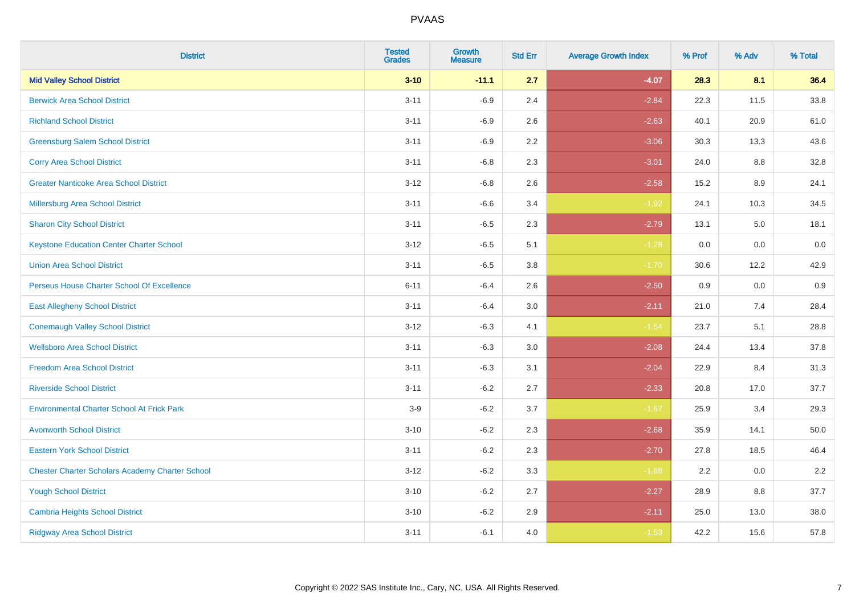| <b>District</b>                                        | <b>Tested</b><br><b>Grades</b> | Growth<br><b>Measure</b> | <b>Std Err</b> | <b>Average Growth Index</b> | % Prof | % Adv | % Total |
|--------------------------------------------------------|--------------------------------|--------------------------|----------------|-----------------------------|--------|-------|---------|
| <b>Mid Valley School District</b>                      | $3 - 10$                       | $-11.1$                  | 2.7            | $-4.07$                     | 28.3   | 8.1   | 36.4    |
| <b>Berwick Area School District</b>                    | $3 - 11$                       | $-6.9$                   | 2.4            | $-2.84$                     | 22.3   | 11.5  | 33.8    |
| <b>Richland School District</b>                        | $3 - 11$                       | $-6.9$                   | 2.6            | $-2.63$                     | 40.1   | 20.9  | 61.0    |
| <b>Greensburg Salem School District</b>                | $3 - 11$                       | $-6.9$                   | $2.2\,$        | $-3.06$                     | 30.3   | 13.3  | 43.6    |
| <b>Corry Area School District</b>                      | $3 - 11$                       | $-6.8$                   | 2.3            | $-3.01$                     | 24.0   | 8.8   | 32.8    |
| <b>Greater Nanticoke Area School District</b>          | $3 - 12$                       | $-6.8$                   | 2.6            | $-2.58$                     | 15.2   | 8.9   | 24.1    |
| <b>Millersburg Area School District</b>                | $3 - 11$                       | $-6.6$                   | 3.4            | $-1.92$                     | 24.1   | 10.3  | 34.5    |
| <b>Sharon City School District</b>                     | $3 - 11$                       | $-6.5$                   | 2.3            | $-2.79$                     | 13.1   | 5.0   | 18.1    |
| <b>Keystone Education Center Charter School</b>        | $3 - 12$                       | $-6.5$                   | 5.1            | $-1.28$                     | 0.0    | 0.0   | 0.0     |
| <b>Union Area School District</b>                      | $3 - 11$                       | $-6.5$                   | 3.8            | $-1.70$                     | 30.6   | 12.2  | 42.9    |
| Perseus House Charter School Of Excellence             | $6 - 11$                       | $-6.4$                   | 2.6            | $-2.50$                     | 0.9    | 0.0   | 0.9     |
| <b>East Allegheny School District</b>                  | $3 - 11$                       | $-6.4$                   | 3.0            | $-2.11$                     | 21.0   | 7.4   | 28.4    |
| <b>Conemaugh Valley School District</b>                | $3 - 12$                       | $-6.3$                   | 4.1            | $-1.54$                     | 23.7   | 5.1   | 28.8    |
| <b>Wellsboro Area School District</b>                  | $3 - 11$                       | $-6.3$                   | 3.0            | $-2.08$                     | 24.4   | 13.4  | 37.8    |
| <b>Freedom Area School District</b>                    | $3 - 11$                       | $-6.3$                   | 3.1            | $-2.04$                     | 22.9   | 8.4   | 31.3    |
| <b>Riverside School District</b>                       | $3 - 11$                       | $-6.2$                   | 2.7            | $-2.33$                     | 20.8   | 17.0  | 37.7    |
| <b>Environmental Charter School At Frick Park</b>      | $3-9$                          | $-6.2$                   | 3.7            | $-1.67$                     | 25.9   | 3.4   | 29.3    |
| <b>Avonworth School District</b>                       | $3 - 10$                       | $-6.2$                   | 2.3            | $-2.68$                     | 35.9   | 14.1  | 50.0    |
| <b>Eastern York School District</b>                    | $3 - 11$                       | $-6.2$                   | 2.3            | $-2.70$                     | 27.8   | 18.5  | 46.4    |
| <b>Chester Charter Scholars Academy Charter School</b> | $3 - 12$                       | $-6.2$                   | 3.3            | $-1.88$                     | 2.2    | 0.0   | 2.2     |
| <b>Yough School District</b>                           | $3 - 10$                       | $-6.2$                   | 2.7            | $-2.27$                     | 28.9   | 8.8   | 37.7    |
| <b>Cambria Heights School District</b>                 | $3 - 10$                       | $-6.2$                   | 2.9            | $-2.11$                     | 25.0   | 13.0  | 38.0    |
| <b>Ridgway Area School District</b>                    | $3 - 11$                       | $-6.1$                   | 4.0            | $-1.53$                     | 42.2   | 15.6  | 57.8    |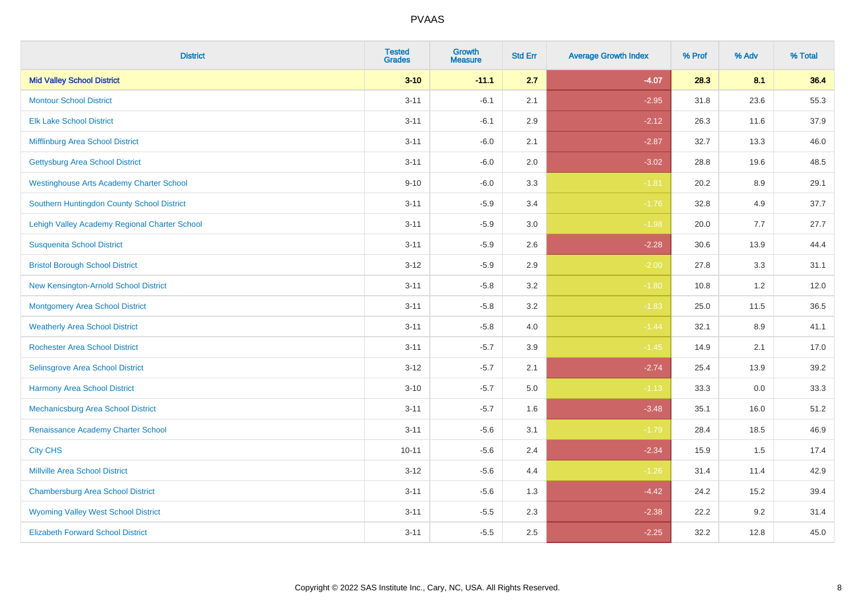| <b>District</b>                                 | <b>Tested</b><br><b>Grades</b> | <b>Growth</b><br><b>Measure</b> | <b>Std Err</b> | <b>Average Growth Index</b> | % Prof | % Adv | % Total |
|-------------------------------------------------|--------------------------------|---------------------------------|----------------|-----------------------------|--------|-------|---------|
| <b>Mid Valley School District</b>               | $3 - 10$                       | $-11.1$                         | 2.7            | $-4.07$                     | 28.3   | 8.1   | 36.4    |
| <b>Montour School District</b>                  | $3 - 11$                       | $-6.1$                          | 2.1            | $-2.95$                     | 31.8   | 23.6  | 55.3    |
| <b>Elk Lake School District</b>                 | $3 - 11$                       | $-6.1$                          | 2.9            | $-2.12$                     | 26.3   | 11.6  | 37.9    |
| Mifflinburg Area School District                | $3 - 11$                       | $-6.0$                          | 2.1            | $-2.87$                     | 32.7   | 13.3  | 46.0    |
| <b>Gettysburg Area School District</b>          | $3 - 11$                       | $-6.0$                          | 2.0            | $-3.02$                     | 28.8   | 19.6  | 48.5    |
| <b>Westinghouse Arts Academy Charter School</b> | $9 - 10$                       | $-6.0$                          | 3.3            | $-1.81$                     | 20.2   | 8.9   | 29.1    |
| Southern Huntingdon County School District      | $3 - 11$                       | $-5.9$                          | 3.4            | $-1.76$                     | 32.8   | 4.9   | 37.7    |
| Lehigh Valley Academy Regional Charter School   | $3 - 11$                       | $-5.9$                          | 3.0            | $-1.98$                     | 20.0   | 7.7   | 27.7    |
| <b>Susquenita School District</b>               | $3 - 11$                       | $-5.9$                          | 2.6            | $-2.28$                     | 30.6   | 13.9  | 44.4    |
| <b>Bristol Borough School District</b>          | $3 - 12$                       | $-5.9$                          | $2.9\,$        | $-2.00$                     | 27.8   | 3.3   | 31.1    |
| New Kensington-Arnold School District           | $3 - 11$                       | $-5.8$                          | 3.2            | $-1.80$                     | 10.8   | 1.2   | 12.0    |
| <b>Montgomery Area School District</b>          | $3 - 11$                       | $-5.8$                          | 3.2            | $-1.83$                     | 25.0   | 11.5  | 36.5    |
| <b>Weatherly Area School District</b>           | $3 - 11$                       | $-5.8$                          | 4.0            | $-1.44$                     | 32.1   | 8.9   | 41.1    |
| <b>Rochester Area School District</b>           | $3 - 11$                       | $-5.7$                          | 3.9            | $-1.45$                     | 14.9   | 2.1   | 17.0    |
| Selinsgrove Area School District                | $3 - 12$                       | $-5.7$                          | 2.1            | $-2.74$                     | 25.4   | 13.9  | 39.2    |
| <b>Harmony Area School District</b>             | $3 - 10$                       | $-5.7$                          | 5.0            | $-1.13$                     | 33.3   | 0.0   | 33.3    |
| Mechanicsburg Area School District              | $3 - 11$                       | $-5.7$                          | 1.6            | $-3.48$                     | 35.1   | 16.0  | 51.2    |
| Renaissance Academy Charter School              | $3 - 11$                       | $-5.6$                          | 3.1            | $-1.79$                     | 28.4   | 18.5  | 46.9    |
| <b>City CHS</b>                                 | $10 - 11$                      | $-5.6$                          | 2.4            | $-2.34$                     | 15.9   | 1.5   | 17.4    |
| <b>Millville Area School District</b>           | $3 - 12$                       | $-5.6$                          | 4.4            | $-1.26$                     | 31.4   | 11.4  | 42.9    |
| <b>Chambersburg Area School District</b>        | $3 - 11$                       | $-5.6$                          | 1.3            | $-4.42$                     | 24.2   | 15.2  | 39.4    |
| <b>Wyoming Valley West School District</b>      | $3 - 11$                       | $-5.5$                          | 2.3            | $-2.38$                     | 22.2   | 9.2   | 31.4    |
| <b>Elizabeth Forward School District</b>        | $3 - 11$                       | $-5.5$                          | 2.5            | $-2.25$                     | 32.2   | 12.8  | 45.0    |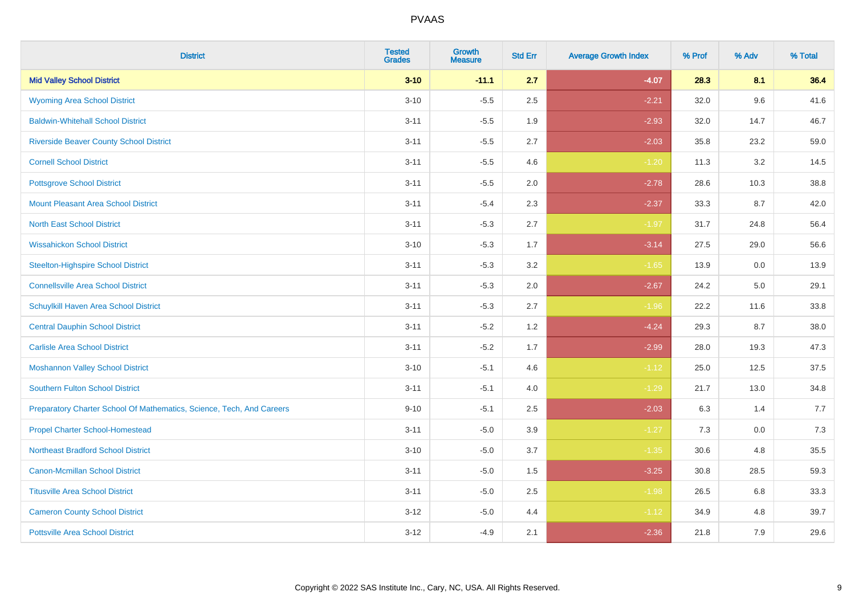| <b>District</b>                                                       | <b>Tested</b><br><b>Grades</b> | Growth<br><b>Measure</b> | <b>Std Err</b> | <b>Average Growth Index</b> | % Prof | % Adv | % Total |
|-----------------------------------------------------------------------|--------------------------------|--------------------------|----------------|-----------------------------|--------|-------|---------|
| <b>Mid Valley School District</b>                                     | $3 - 10$                       | $-11.1$                  | 2.7            | $-4.07$                     | 28.3   | 8.1   | 36.4    |
| <b>Wyoming Area School District</b>                                   | $3 - 10$                       | $-5.5$                   | 2.5            | $-2.21$                     | 32.0   | 9.6   | 41.6    |
| <b>Baldwin-Whitehall School District</b>                              | $3 - 11$                       | $-5.5$                   | 1.9            | $-2.93$                     | 32.0   | 14.7  | 46.7    |
| <b>Riverside Beaver County School District</b>                        | $3 - 11$                       | $-5.5$                   | 2.7            | $-2.03$                     | 35.8   | 23.2  | 59.0    |
| <b>Cornell School District</b>                                        | $3 - 11$                       | $-5.5$                   | 4.6            | $-1.20$                     | 11.3   | 3.2   | 14.5    |
| <b>Pottsgrove School District</b>                                     | $3 - 11$                       | $-5.5$                   | 2.0            | $-2.78$                     | 28.6   | 10.3  | 38.8    |
| <b>Mount Pleasant Area School District</b>                            | $3 - 11$                       | $-5.4$                   | 2.3            | $-2.37$                     | 33.3   | 8.7   | 42.0    |
| <b>North East School District</b>                                     | $3 - 11$                       | $-5.3$                   | 2.7            | $-1.97$                     | 31.7   | 24.8  | 56.4    |
| <b>Wissahickon School District</b>                                    | $3 - 10$                       | $-5.3$                   | 1.7            | $-3.14$                     | 27.5   | 29.0  | 56.6    |
| <b>Steelton-Highspire School District</b>                             | $3 - 11$                       | $-5.3$                   | 3.2            | $-1.65$                     | 13.9   | 0.0   | 13.9    |
| <b>Connellsville Area School District</b>                             | $3 - 11$                       | $-5.3$                   | 2.0            | $-2.67$                     | 24.2   | 5.0   | 29.1    |
| <b>Schuylkill Haven Area School District</b>                          | $3 - 11$                       | $-5.3$                   | 2.7            | $-1.96$                     | 22.2   | 11.6  | 33.8    |
| <b>Central Dauphin School District</b>                                | $3 - 11$                       | $-5.2$                   | 1.2            | $-4.24$                     | 29.3   | 8.7   | 38.0    |
| <b>Carlisle Area School District</b>                                  | $3 - 11$                       | $-5.2$                   | 1.7            | $-2.99$                     | 28.0   | 19.3  | 47.3    |
| <b>Moshannon Valley School District</b>                               | $3 - 10$                       | $-5.1$                   | 4.6            | $-1.12$                     | 25.0   | 12.5  | 37.5    |
| <b>Southern Fulton School District</b>                                | $3 - 11$                       | $-5.1$                   | 4.0            | $-1.29$                     | 21.7   | 13.0  | 34.8    |
| Preparatory Charter School Of Mathematics, Science, Tech, And Careers | $9 - 10$                       | $-5.1$                   | 2.5            | $-2.03$                     | 6.3    | 1.4   | 7.7     |
| <b>Propel Charter School-Homestead</b>                                | $3 - 11$                       | $-5.0$                   | 3.9            | $-1.27$                     | 7.3    | 0.0   | 7.3     |
| <b>Northeast Bradford School District</b>                             | $3 - 10$                       | $-5.0$                   | 3.7            | $-1.35$                     | 30.6   | 4.8   | 35.5    |
| <b>Canon-Mcmillan School District</b>                                 | $3 - 11$                       | $-5.0$                   | 1.5            | $-3.25$                     | 30.8   | 28.5  | 59.3    |
| <b>Titusville Area School District</b>                                | $3 - 11$                       | $-5.0$                   | 2.5            | $-1.98$                     | 26.5   | 6.8   | 33.3    |
| <b>Cameron County School District</b>                                 | $3 - 12$                       | $-5.0$                   | 4.4            | $-1.12$                     | 34.9   | 4.8   | 39.7    |
| <b>Pottsville Area School District</b>                                | $3 - 12$                       | $-4.9$                   | 2.1            | $-2.36$                     | 21.8   | 7.9   | 29.6    |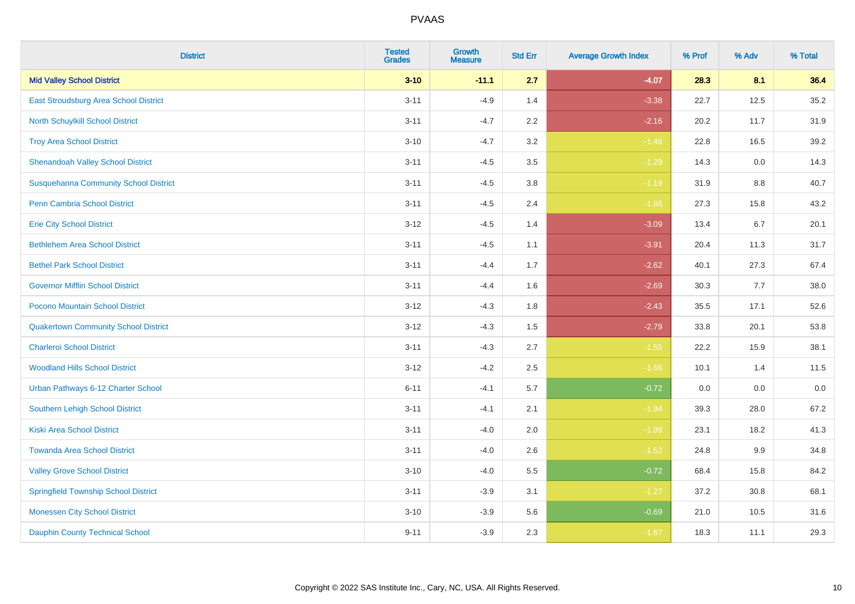| <b>District</b>                              | <b>Tested</b><br><b>Grades</b> | <b>Growth</b><br><b>Measure</b> | <b>Std Err</b> | <b>Average Growth Index</b> | % Prof | % Adv | % Total |
|----------------------------------------------|--------------------------------|---------------------------------|----------------|-----------------------------|--------|-------|---------|
| <b>Mid Valley School District</b>            | $3 - 10$                       | $-11.1$                         | 2.7            | $-4.07$                     | 28.3   | 8.1   | 36.4    |
| <b>East Stroudsburg Area School District</b> | $3 - 11$                       | $-4.9$                          | 1.4            | $-3.38$                     | 22.7   | 12.5  | 35.2    |
| North Schuylkill School District             | $3 - 11$                       | $-4.7$                          | 2.2            | $-2.16$                     | 20.2   | 11.7  | 31.9    |
| <b>Troy Area School District</b>             | $3 - 10$                       | $-4.7$                          | 3.2            | $-1.46$                     | 22.8   | 16.5  | 39.2    |
| <b>Shenandoah Valley School District</b>     | $3 - 11$                       | $-4.5$                          | 3.5            | $-1.29$                     | 14.3   | 0.0   | 14.3    |
| <b>Susquehanna Community School District</b> | $3 - 11$                       | $-4.5$                          | 3.8            | $-1.19$                     | 31.9   | 8.8   | 40.7    |
| Penn Cambria School District                 | $3 - 11$                       | $-4.5$                          | 2.4            | $-1.86$                     | 27.3   | 15.8  | 43.2    |
| <b>Erie City School District</b>             | $3 - 12$                       | $-4.5$                          | 1.4            | $-3.09$                     | 13.4   | 6.7   | 20.1    |
| <b>Bethlehem Area School District</b>        | $3 - 11$                       | $-4.5$                          | 1.1            | $-3.91$                     | 20.4   | 11.3  | 31.7    |
| <b>Bethel Park School District</b>           | $3 - 11$                       | $-4.4$                          | 1.7            | $-2.62$                     | 40.1   | 27.3  | 67.4    |
| <b>Governor Mifflin School District</b>      | $3 - 11$                       | $-4.4$                          | 1.6            | $-2.69$                     | 30.3   | 7.7   | 38.0    |
| Pocono Mountain School District              | $3 - 12$                       | $-4.3$                          | 1.8            | $-2.43$                     | 35.5   | 17.1  | 52.6    |
| <b>Quakertown Community School District</b>  | $3 - 12$                       | $-4.3$                          | 1.5            | $-2.79$                     | 33.8   | 20.1  | 53.8    |
| <b>Charleroi School District</b>             | $3 - 11$                       | $-4.3$                          | 2.7            | $-1.55$                     | 22.2   | 15.9  | 38.1    |
| <b>Woodland Hills School District</b>        | $3 - 12$                       | $-4.2$                          | 2.5            | $-1.66$                     | 10.1   | 1.4   | 11.5    |
| Urban Pathways 6-12 Charter School           | $6 - 11$                       | $-4.1$                          | 5.7            | $-0.72$                     | 0.0    | 0.0   | $0.0\,$ |
| Southern Lehigh School District              | $3 - 11$                       | $-4.1$                          | 2.1            | $-1.94$                     | 39.3   | 28.0  | 67.2    |
| <b>Kiski Area School District</b>            | $3 - 11$                       | $-4.0$                          | 2.0            | $-1.99$                     | 23.1   | 18.2  | 41.3    |
| <b>Towanda Area School District</b>          | $3 - 11$                       | $-4.0$                          | 2.6            | $-1.52$                     | 24.8   | 9.9   | 34.8    |
| <b>Valley Grove School District</b>          | $3 - 10$                       | $-4.0$                          | 5.5            | $-0.72$                     | 68.4   | 15.8  | 84.2    |
| <b>Springfield Township School District</b>  | $3 - 11$                       | $-3.9$                          | 3.1            | $-1.27$                     | 37.2   | 30.8  | 68.1    |
| <b>Monessen City School District</b>         | $3 - 10$                       | $-3.9$                          | 5.6            | $-0.69$                     | 21.0   | 10.5  | 31.6    |
| <b>Dauphin County Technical School</b>       | $9 - 11$                       | $-3.9$                          | 2.3            | $-1.67$                     | 18.3   | 11.1  | 29.3    |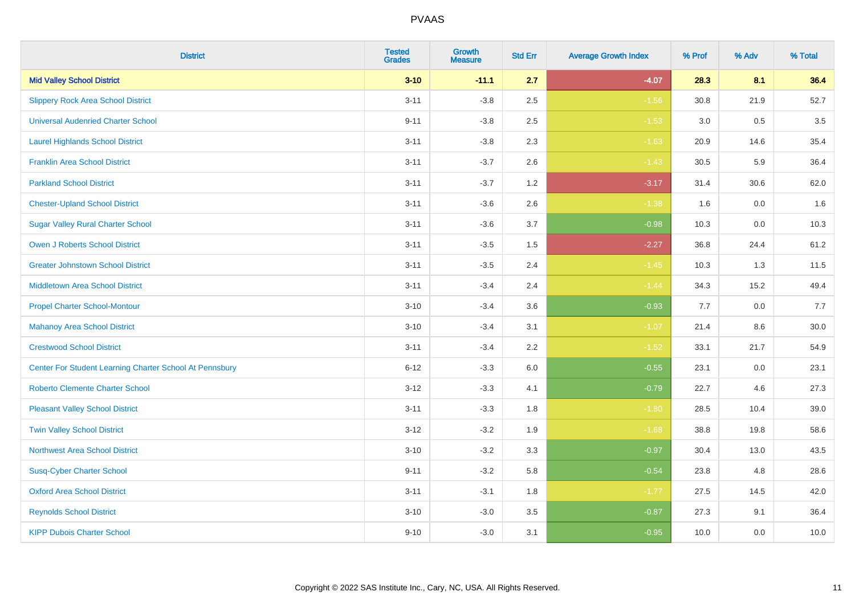| <b>District</b>                                         | <b>Tested</b><br><b>Grades</b> | <b>Growth</b><br><b>Measure</b> | <b>Std Err</b> | <b>Average Growth Index</b> | % Prof | % Adv | % Total |
|---------------------------------------------------------|--------------------------------|---------------------------------|----------------|-----------------------------|--------|-------|---------|
| <b>Mid Valley School District</b>                       | $3 - 10$                       | $-11.1$                         | 2.7            | $-4.07$                     | 28.3   | 8.1   | 36.4    |
| <b>Slippery Rock Area School District</b>               | $3 - 11$                       | $-3.8$                          | 2.5            | $-1.56$                     | 30.8   | 21.9  | 52.7    |
| <b>Universal Audenried Charter School</b>               | $9 - 11$                       | $-3.8$                          | 2.5            | $-1.53$                     | 3.0    | 0.5   | 3.5     |
| <b>Laurel Highlands School District</b>                 | $3 - 11$                       | $-3.8$                          | 2.3            | $-1.63$                     | 20.9   | 14.6  | 35.4    |
| <b>Franklin Area School District</b>                    | $3 - 11$                       | $-3.7$                          | 2.6            | $-1.43$                     | 30.5   | 5.9   | 36.4    |
| <b>Parkland School District</b>                         | $3 - 11$                       | $-3.7$                          | 1.2            | $-3.17$                     | 31.4   | 30.6  | 62.0    |
| <b>Chester-Upland School District</b>                   | $3 - 11$                       | $-3.6$                          | 2.6            | $-1.38$                     | 1.6    | 0.0   | 1.6     |
| <b>Sugar Valley Rural Charter School</b>                | $3 - 11$                       | $-3.6$                          | 3.7            | $-0.98$                     | 10.3   | 0.0   | 10.3    |
| <b>Owen J Roberts School District</b>                   | $3 - 11$                       | $-3.5$                          | 1.5            | $-2.27$                     | 36.8   | 24.4  | 61.2    |
| <b>Greater Johnstown School District</b>                | $3 - 11$                       | $-3.5$                          | 2.4            | $-1.45$                     | 10.3   | 1.3   | 11.5    |
| <b>Middletown Area School District</b>                  | $3 - 11$                       | $-3.4$                          | 2.4            | $-1.44$                     | 34.3   | 15.2  | 49.4    |
| <b>Propel Charter School-Montour</b>                    | $3 - 10$                       | $-3.4$                          | 3.6            | $-0.93$                     | 7.7    | 0.0   | 7.7     |
| <b>Mahanoy Area School District</b>                     | $3 - 10$                       | $-3.4$                          | 3.1            | $-1.07$                     | 21.4   | 8.6   | 30.0    |
| <b>Crestwood School District</b>                        | $3 - 11$                       | $-3.4$                          | 2.2            | $-1.52$                     | 33.1   | 21.7  | 54.9    |
| Center For Student Learning Charter School At Pennsbury | $6 - 12$                       | $-3.3$                          | $6.0\,$        | $-0.55$                     | 23.1   | 0.0   | 23.1    |
| <b>Roberto Clemente Charter School</b>                  | $3-12$                         | $-3.3$                          | 4.1            | $-0.79$                     | 22.7   | 4.6   | 27.3    |
| <b>Pleasant Valley School District</b>                  | $3 - 11$                       | $-3.3$                          | 1.8            | $-1.80$                     | 28.5   | 10.4  | 39.0    |
| <b>Twin Valley School District</b>                      | $3 - 12$                       | $-3.2$                          | 1.9            | $-1.68$                     | 38.8   | 19.8  | 58.6    |
| <b>Northwest Area School District</b>                   | $3 - 10$                       | $-3.2$                          | 3.3            | $-0.97$                     | 30.4   | 13.0  | 43.5    |
| <b>Susq-Cyber Charter School</b>                        | $9 - 11$                       | $-3.2$                          | 5.8            | $-0.54$                     | 23.8   | 4.8   | 28.6    |
| <b>Oxford Area School District</b>                      | $3 - 11$                       | $-3.1$                          | 1.8            | $-1.77$                     | 27.5   | 14.5  | 42.0    |
| <b>Reynolds School District</b>                         | $3 - 10$                       | $-3.0$                          | 3.5            | $-0.87$                     | 27.3   | 9.1   | 36.4    |
| <b>KIPP Dubois Charter School</b>                       | $9 - 10$                       | $-3.0$                          | 3.1            | $-0.95$                     | 10.0   | 0.0   | 10.0    |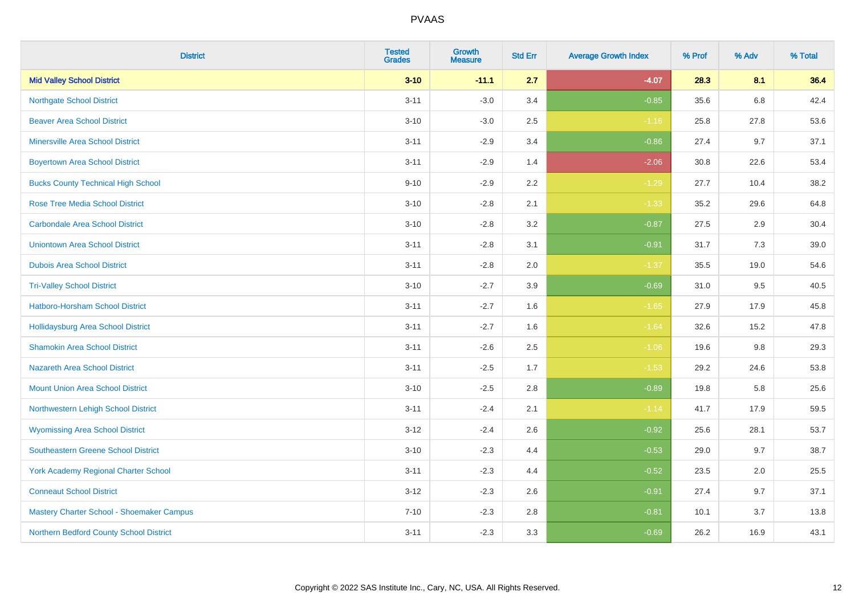| <b>District</b>                             | <b>Tested</b><br><b>Grades</b> | <b>Growth</b><br><b>Measure</b> | <b>Std Err</b> | <b>Average Growth Index</b> | % Prof | % Adv | % Total |
|---------------------------------------------|--------------------------------|---------------------------------|----------------|-----------------------------|--------|-------|---------|
| <b>Mid Valley School District</b>           | $3 - 10$                       | $-11.1$                         | 2.7            | $-4.07$                     | 28.3   | 8.1   | 36.4    |
| <b>Northgate School District</b>            | $3 - 11$                       | $-3.0$                          | 3.4            | $-0.85$                     | 35.6   | 6.8   | 42.4    |
| <b>Beaver Area School District</b>          | $3 - 10$                       | $-3.0$                          | 2.5            | $-1.16$                     | 25.8   | 27.8  | 53.6    |
| <b>Minersville Area School District</b>     | $3 - 11$                       | $-2.9$                          | 3.4            | $-0.86$                     | 27.4   | 9.7   | 37.1    |
| <b>Boyertown Area School District</b>       | $3 - 11$                       | $-2.9$                          | 1.4            | $-2.06$                     | 30.8   | 22.6  | 53.4    |
| <b>Bucks County Technical High School</b>   | $9 - 10$                       | $-2.9$                          | 2.2            | $-1.29$                     | 27.7   | 10.4  | 38.2    |
| <b>Rose Tree Media School District</b>      | $3 - 10$                       | $-2.8$                          | 2.1            | $-1.33$                     | 35.2   | 29.6  | 64.8    |
| <b>Carbondale Area School District</b>      | $3 - 10$                       | $-2.8$                          | 3.2            | $-0.87$                     | 27.5   | 2.9   | 30.4    |
| <b>Uniontown Area School District</b>       | $3 - 11$                       | $-2.8$                          | 3.1            | $-0.91$                     | 31.7   | 7.3   | 39.0    |
| <b>Dubois Area School District</b>          | $3 - 11$                       | $-2.8$                          | 2.0            | $-1.37$                     | 35.5   | 19.0  | 54.6    |
| <b>Tri-Valley School District</b>           | $3 - 10$                       | $-2.7$                          | 3.9            | $-0.69$                     | 31.0   | 9.5   | 40.5    |
| Hatboro-Horsham School District             | $3 - 11$                       | $-2.7$                          | 1.6            | $-1.65$                     | 27.9   | 17.9  | 45.8    |
| Hollidaysburg Area School District          | $3 - 11$                       | $-2.7$                          | 1.6            | $-1.64$                     | 32.6   | 15.2  | 47.8    |
| <b>Shamokin Area School District</b>        | $3 - 11$                       | $-2.6$                          | 2.5            | $-1.06$                     | 19.6   | 9.8   | 29.3    |
| <b>Nazareth Area School District</b>        | $3 - 11$                       | $-2.5$                          | 1.7            | $-1.53$                     | 29.2   | 24.6  | 53.8    |
| <b>Mount Union Area School District</b>     | $3 - 10$                       | $-2.5$                          | 2.8            | $-0.89$                     | 19.8   | 5.8   | 25.6    |
| Northwestern Lehigh School District         | $3 - 11$                       | $-2.4$                          | 2.1            | $-1.14$                     | 41.7   | 17.9  | 59.5    |
| <b>Wyomissing Area School District</b>      | $3 - 12$                       | $-2.4$                          | 2.6            | $-0.92$                     | 25.6   | 28.1  | 53.7    |
| <b>Southeastern Greene School District</b>  | $3 - 10$                       | $-2.3$                          | 4.4            | $-0.53$                     | 29.0   | 9.7   | 38.7    |
| <b>York Academy Regional Charter School</b> | $3 - 11$                       | $-2.3$                          | 4.4            | $-0.52$                     | 23.5   | 2.0   | 25.5    |
| <b>Conneaut School District</b>             | $3 - 12$                       | $-2.3$                          | 2.6            | $-0.91$                     | 27.4   | 9.7   | 37.1    |
| Mastery Charter School - Shoemaker Campus   | $7 - 10$                       | $-2.3$                          | 2.8            | $-0.81$                     | 10.1   | 3.7   | 13.8    |
| Northern Bedford County School District     | $3 - 11$                       | $-2.3$                          | 3.3            | $-0.69$                     | 26.2   | 16.9  | 43.1    |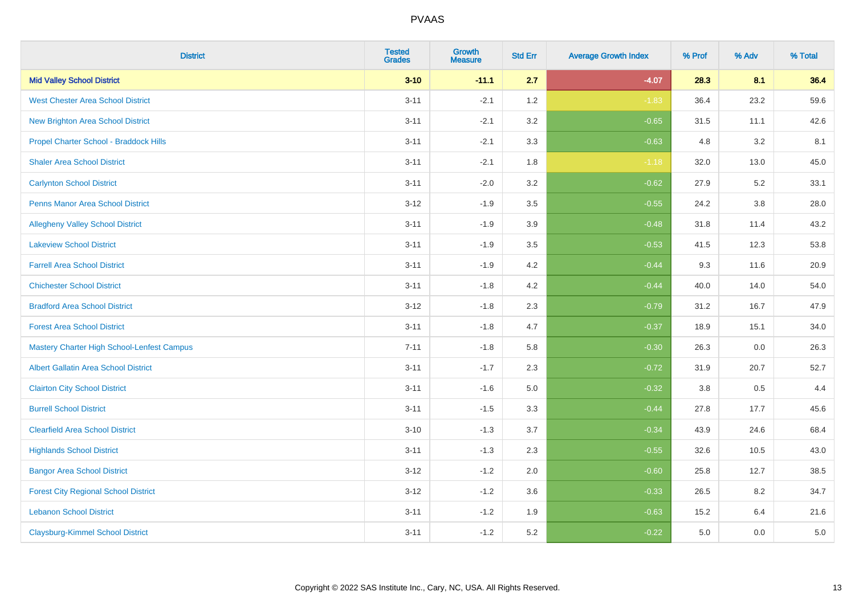| <b>District</b>                                   | <b>Tested</b><br><b>Grades</b> | <b>Growth</b><br><b>Measure</b> | <b>Std Err</b> | <b>Average Growth Index</b> | % Prof  | % Adv | % Total |
|---------------------------------------------------|--------------------------------|---------------------------------|----------------|-----------------------------|---------|-------|---------|
| <b>Mid Valley School District</b>                 | $3 - 10$                       | $-11.1$                         | 2.7            | $-4.07$                     | 28.3    | 8.1   | 36.4    |
| <b>West Chester Area School District</b>          | $3 - 11$                       | $-2.1$                          | 1.2            | $-1.83$                     | 36.4    | 23.2  | 59.6    |
| <b>New Brighton Area School District</b>          | $3 - 11$                       | $-2.1$                          | 3.2            | $-0.65$                     | 31.5    | 11.1  | 42.6    |
| Propel Charter School - Braddock Hills            | $3 - 11$                       | $-2.1$                          | 3.3            | $-0.63$                     | 4.8     | 3.2   | 8.1     |
| <b>Shaler Area School District</b>                | $3 - 11$                       | $-2.1$                          | 1.8            | $-1.18$                     | 32.0    | 13.0  | 45.0    |
| <b>Carlynton School District</b>                  | $3 - 11$                       | $-2.0$                          | 3.2            | $-0.62$                     | 27.9    | 5.2   | 33.1    |
| <b>Penns Manor Area School District</b>           | $3 - 12$                       | $-1.9$                          | 3.5            | $-0.55$                     | 24.2    | 3.8   | 28.0    |
| <b>Allegheny Valley School District</b>           | $3 - 11$                       | $-1.9$                          | 3.9            | $-0.48$                     | 31.8    | 11.4  | 43.2    |
| <b>Lakeview School District</b>                   | $3 - 11$                       | $-1.9$                          | 3.5            | $-0.53$                     | 41.5    | 12.3  | 53.8    |
| <b>Farrell Area School District</b>               | $3 - 11$                       | $-1.9$                          | 4.2            | $-0.44$                     | 9.3     | 11.6  | 20.9    |
| <b>Chichester School District</b>                 | $3 - 11$                       | $-1.8$                          | 4.2            | $-0.44$                     | 40.0    | 14.0  | 54.0    |
| <b>Bradford Area School District</b>              | $3 - 12$                       | $-1.8$                          | 2.3            | $-0.79$                     | 31.2    | 16.7  | 47.9    |
| <b>Forest Area School District</b>                | $3 - 11$                       | $-1.8$                          | 4.7            | $-0.37$                     | 18.9    | 15.1  | 34.0    |
| <b>Mastery Charter High School-Lenfest Campus</b> | $7 - 11$                       | $-1.8$                          | 5.8            | $-0.30$                     | 26.3    | 0.0   | 26.3    |
| <b>Albert Gallatin Area School District</b>       | $3 - 11$                       | $-1.7$                          | 2.3            | $-0.72$                     | 31.9    | 20.7  | 52.7    |
| <b>Clairton City School District</b>              | $3 - 11$                       | $-1.6$                          | 5.0            | $-0.32$                     | $3.8\,$ | 0.5   | 4.4     |
| <b>Burrell School District</b>                    | $3 - 11$                       | $-1.5$                          | 3.3            | $-0.44$                     | 27.8    | 17.7  | 45.6    |
| <b>Clearfield Area School District</b>            | $3 - 10$                       | $-1.3$                          | 3.7            | $-0.34$                     | 43.9    | 24.6  | 68.4    |
| <b>Highlands School District</b>                  | $3 - 11$                       | $-1.3$                          | 2.3            | $-0.55$                     | 32.6    | 10.5  | 43.0    |
| <b>Bangor Area School District</b>                | $3 - 12$                       | $-1.2$                          | 2.0            | $-0.60$                     | 25.8    | 12.7  | 38.5    |
| <b>Forest City Regional School District</b>       | $3 - 12$                       | $-1.2$                          | 3.6            | $-0.33$                     | 26.5    | 8.2   | 34.7    |
| <b>Lebanon School District</b>                    | $3 - 11$                       | $-1.2$                          | 1.9            | $-0.63$                     | 15.2    | 6.4   | 21.6    |
| <b>Claysburg-Kimmel School District</b>           | $3 - 11$                       | $-1.2$                          | 5.2            | $-0.22$                     | 5.0     | 0.0   | $5.0$   |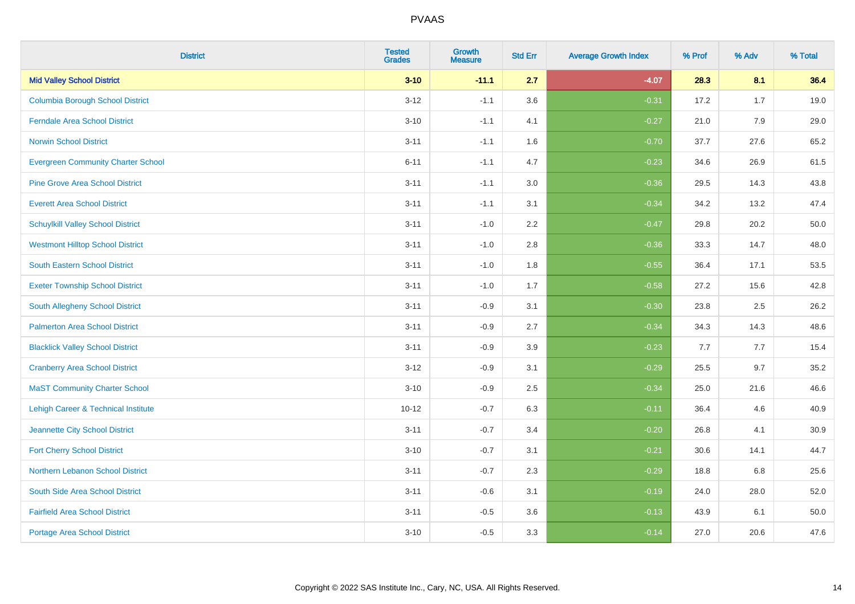| <b>District</b>                                | <b>Tested</b><br><b>Grades</b> | Growth<br><b>Measure</b> | <b>Std Err</b> | <b>Average Growth Index</b> | % Prof | % Adv | % Total |
|------------------------------------------------|--------------------------------|--------------------------|----------------|-----------------------------|--------|-------|---------|
| <b>Mid Valley School District</b>              | $3 - 10$                       | $-11.1$                  | 2.7            | $-4.07$                     | 28.3   | 8.1   | 36.4    |
| <b>Columbia Borough School District</b>        | $3 - 12$                       | $-1.1$                   | 3.6            | $-0.31$                     | 17.2   | 1.7   | 19.0    |
| <b>Ferndale Area School District</b>           | $3 - 10$                       | $-1.1$                   | 4.1            | $-0.27$                     | 21.0   | 7.9   | 29.0    |
| <b>Norwin School District</b>                  | $3 - 11$                       | $-1.1$                   | 1.6            | $-0.70$                     | 37.7   | 27.6  | 65.2    |
| <b>Evergreen Community Charter School</b>      | $6 - 11$                       | $-1.1$                   | 4.7            | $-0.23$                     | 34.6   | 26.9  | 61.5    |
| <b>Pine Grove Area School District</b>         | $3 - 11$                       | $-1.1$                   | 3.0            | $-0.36$                     | 29.5   | 14.3  | 43.8    |
| <b>Everett Area School District</b>            | $3 - 11$                       | $-1.1$                   | 3.1            | $-0.34$                     | 34.2   | 13.2  | 47.4    |
| <b>Schuylkill Valley School District</b>       | $3 - 11$                       | $-1.0$                   | 2.2            | $-0.47$                     | 29.8   | 20.2  | 50.0    |
| <b>Westmont Hilltop School District</b>        | $3 - 11$                       | $-1.0$                   | 2.8            | $-0.36$                     | 33.3   | 14.7  | 48.0    |
| <b>South Eastern School District</b>           | $3 - 11$                       | $-1.0$                   | 1.8            | $-0.55$                     | 36.4   | 17.1  | 53.5    |
| <b>Exeter Township School District</b>         | $3 - 11$                       | $-1.0$                   | 1.7            | $-0.58$                     | 27.2   | 15.6  | 42.8    |
| <b>South Allegheny School District</b>         | $3 - 11$                       | $-0.9$                   | 3.1            | $-0.30$                     | 23.8   | 2.5   | 26.2    |
| <b>Palmerton Area School District</b>          | $3 - 11$                       | $-0.9$                   | 2.7            | $-0.34$                     | 34.3   | 14.3  | 48.6    |
| <b>Blacklick Valley School District</b>        | $3 - 11$                       | $-0.9$                   | 3.9            | $-0.23$                     | 7.7    | 7.7   | 15.4    |
| <b>Cranberry Area School District</b>          | $3 - 12$                       | $-0.9$                   | 3.1            | $-0.29$                     | 25.5   | 9.7   | 35.2    |
| <b>MaST Community Charter School</b>           | $3 - 10$                       | $-0.9$                   | 2.5            | $-0.34$                     | 25.0   | 21.6  | 46.6    |
| <b>Lehigh Career &amp; Technical Institute</b> | $10 - 12$                      | $-0.7$                   | 6.3            | $-0.11$                     | 36.4   | 4.6   | 40.9    |
| Jeannette City School District                 | $3 - 11$                       | $-0.7$                   | 3.4            | $-0.20$                     | 26.8   | 4.1   | 30.9    |
| <b>Fort Cherry School District</b>             | $3 - 10$                       | $-0.7$                   | 3.1            | $-0.21$                     | 30.6   | 14.1  | 44.7    |
| Northern Lebanon School District               | $3 - 11$                       | $-0.7$                   | 2.3            | $-0.29$                     | 18.8   | 6.8   | 25.6    |
| South Side Area School District                | $3 - 11$                       | $-0.6$                   | 3.1            | $-0.19$                     | 24.0   | 28.0  | 52.0    |
| <b>Fairfield Area School District</b>          | $3 - 11$                       | $-0.5$                   | 3.6            | $-0.13$                     | 43.9   | 6.1   | 50.0    |
| <b>Portage Area School District</b>            | $3 - 10$                       | $-0.5$                   | 3.3            | $-0.14$                     | 27.0   | 20.6  | 47.6    |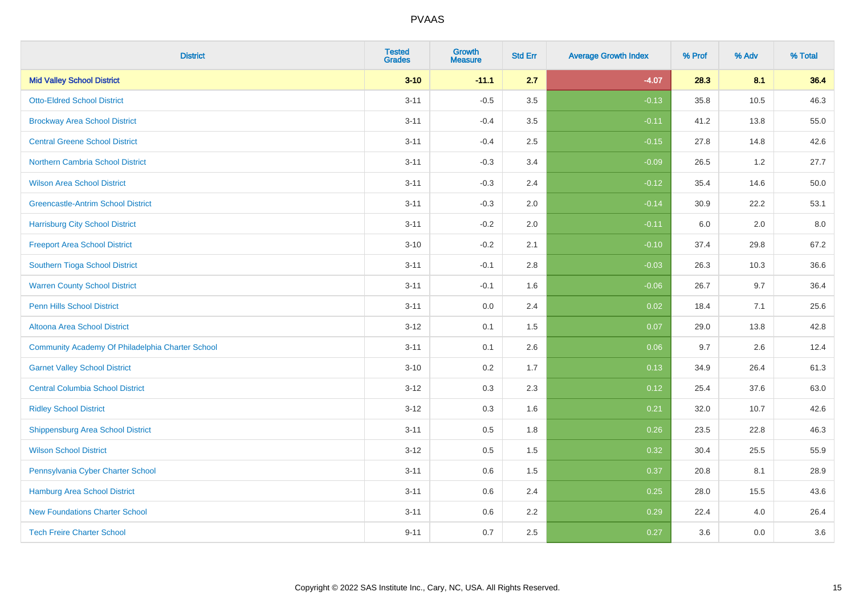| <b>District</b>                                  | <b>Tested</b><br><b>Grades</b> | <b>Growth</b><br><b>Measure</b> | <b>Std Err</b> | <b>Average Growth Index</b> | % Prof | % Adv | % Total |
|--------------------------------------------------|--------------------------------|---------------------------------|----------------|-----------------------------|--------|-------|---------|
| <b>Mid Valley School District</b>                | $3 - 10$                       | $-11.1$                         | 2.7            | $-4.07$                     | 28.3   | 8.1   | 36.4    |
| <b>Otto-Eldred School District</b>               | $3 - 11$                       | $-0.5$                          | 3.5            | $-0.13$                     | 35.8   | 10.5  | 46.3    |
| <b>Brockway Area School District</b>             | $3 - 11$                       | $-0.4$                          | 3.5            | $-0.11$                     | 41.2   | 13.8  | 55.0    |
| <b>Central Greene School District</b>            | $3 - 11$                       | $-0.4$                          | 2.5            | $-0.15$                     | 27.8   | 14.8  | 42.6    |
| <b>Northern Cambria School District</b>          | $3 - 11$                       | $-0.3$                          | 3.4            | $-0.09$                     | 26.5   | 1.2   | 27.7    |
| <b>Wilson Area School District</b>               | $3 - 11$                       | $-0.3$                          | 2.4            | $-0.12$                     | 35.4   | 14.6  | 50.0    |
| <b>Greencastle-Antrim School District</b>        | $3 - 11$                       | $-0.3$                          | 2.0            | $-0.14$                     | 30.9   | 22.2  | 53.1    |
| <b>Harrisburg City School District</b>           | $3 - 11$                       | $-0.2$                          | 2.0            | $-0.11$                     | 6.0    | 2.0   | 8.0     |
| <b>Freeport Area School District</b>             | $3 - 10$                       | $-0.2$                          | 2.1            | $-0.10$                     | 37.4   | 29.8  | 67.2    |
| Southern Tioga School District                   | $3 - 11$                       | $-0.1$                          | 2.8            | $-0.03$                     | 26.3   | 10.3  | 36.6    |
| <b>Warren County School District</b>             | $3 - 11$                       | $-0.1$                          | 1.6            | $-0.06$                     | 26.7   | 9.7   | 36.4    |
| <b>Penn Hills School District</b>                | $3 - 11$                       | 0.0                             | 2.4            | 0.02                        | 18.4   | 7.1   | 25.6    |
| Altoona Area School District                     | $3 - 12$                       | 0.1                             | 1.5            | 0.07                        | 29.0   | 13.8  | 42.8    |
| Community Academy Of Philadelphia Charter School | $3 - 11$                       | 0.1                             | 2.6            | 0.06                        | 9.7    | 2.6   | 12.4    |
| <b>Garnet Valley School District</b>             | $3 - 10$                       | 0.2                             | 1.7            | 0.13                        | 34.9   | 26.4  | 61.3    |
| <b>Central Columbia School District</b>          | $3 - 12$                       | 0.3                             | 2.3            | 0.12                        | 25.4   | 37.6  | 63.0    |
| <b>Ridley School District</b>                    | $3-12$                         | 0.3                             | 1.6            | 0.21                        | 32.0   | 10.7  | 42.6    |
| <b>Shippensburg Area School District</b>         | $3 - 11$                       | 0.5                             | 1.8            | 0.26                        | 23.5   | 22.8  | 46.3    |
| <b>Wilson School District</b>                    | $3 - 12$                       | 0.5                             | 1.5            | 0.32                        | 30.4   | 25.5  | 55.9    |
| Pennsylvania Cyber Charter School                | $3 - 11$                       | 0.6                             | 1.5            | 0.37                        | 20.8   | 8.1   | 28.9    |
| <b>Hamburg Area School District</b>              | $3 - 11$                       | 0.6                             | 2.4            | 0.25                        | 28.0   | 15.5  | 43.6    |
| <b>New Foundations Charter School</b>            | $3 - 11$                       | 0.6                             | 2.2            | 0.29                        | 22.4   | 4.0   | 26.4    |
| <b>Tech Freire Charter School</b>                | $9 - 11$                       | 0.7                             | 2.5            | 0.27                        | 3.6    | 0.0   | 3.6     |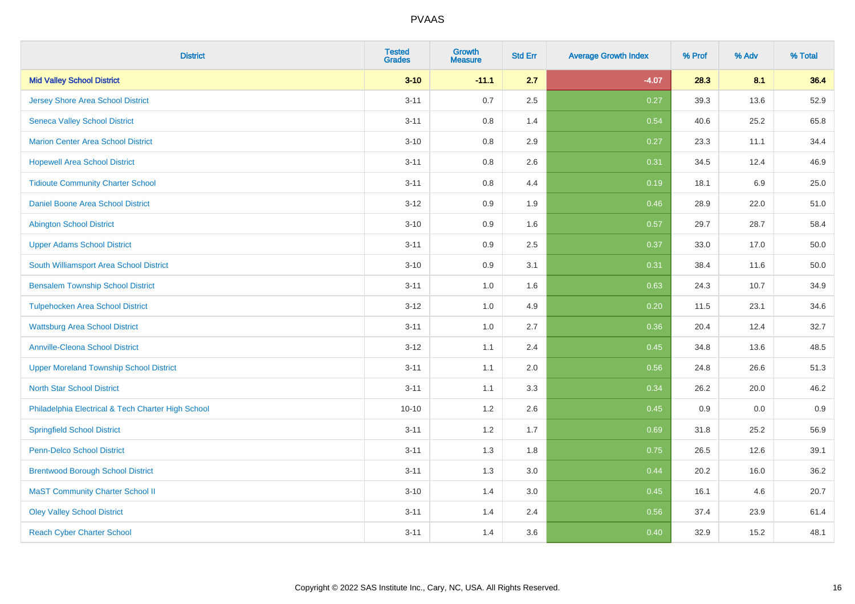| <b>District</b>                                    | <b>Tested</b><br><b>Grades</b> | <b>Growth</b><br><b>Measure</b> | <b>Std Err</b> | <b>Average Growth Index</b> | % Prof | % Adv | % Total |
|----------------------------------------------------|--------------------------------|---------------------------------|----------------|-----------------------------|--------|-------|---------|
| <b>Mid Valley School District</b>                  | $3 - 10$                       | $-11.1$                         | 2.7            | $-4.07$                     | 28.3   | 8.1   | 36.4    |
| <b>Jersey Shore Area School District</b>           | $3 - 11$                       | 0.7                             | 2.5            | 0.27                        | 39.3   | 13.6  | 52.9    |
| <b>Seneca Valley School District</b>               | $3 - 11$                       | 0.8                             | 1.4            | 0.54                        | 40.6   | 25.2  | 65.8    |
| <b>Marion Center Area School District</b>          | $3 - 10$                       | $0.8\,$                         | 2.9            | 0.27                        | 23.3   | 11.1  | 34.4    |
| <b>Hopewell Area School District</b>               | $3 - 11$                       | 0.8                             | 2.6            | 0.31                        | 34.5   | 12.4  | 46.9    |
| <b>Tidioute Community Charter School</b>           | $3 - 11$                       | $0.8\,$                         | 4.4            | 0.19                        | 18.1   | 6.9   | 25.0    |
| Daniel Boone Area School District                  | $3 - 12$                       | $0.9\,$                         | 1.9            | 0.46                        | 28.9   | 22.0  | 51.0    |
| <b>Abington School District</b>                    | $3 - 10$                       | 0.9                             | 1.6            | 0.57                        | 29.7   | 28.7  | 58.4    |
| <b>Upper Adams School District</b>                 | $3 - 11$                       | 0.9                             | 2.5            | 0.37                        | 33.0   | 17.0  | 50.0    |
| South Williamsport Area School District            | $3 - 10$                       | $0.9\,$                         | 3.1            | 0.31                        | 38.4   | 11.6  | 50.0    |
| <b>Bensalem Township School District</b>           | $3 - 11$                       | 1.0                             | 1.6            | 0.63                        | 24.3   | 10.7  | 34.9    |
| <b>Tulpehocken Area School District</b>            | $3 - 12$                       | 1.0                             | 4.9            | 0.20                        | 11.5   | 23.1  | 34.6    |
| <b>Wattsburg Area School District</b>              | $3 - 11$                       | 1.0                             | 2.7            | 0.36                        | 20.4   | 12.4  | 32.7    |
| <b>Annville-Cleona School District</b>             | $3 - 12$                       | 1.1                             | 2.4            | 0.45                        | 34.8   | 13.6  | 48.5    |
| <b>Upper Moreland Township School District</b>     | $3 - 11$                       | 1.1                             | 2.0            | 0.56                        | 24.8   | 26.6  | 51.3    |
| <b>North Star School District</b>                  | $3 - 11$                       | 1.1                             | 3.3            | 0.34                        | 26.2   | 20.0  | 46.2    |
| Philadelphia Electrical & Tech Charter High School | $10 - 10$                      | 1.2                             | 2.6            | 0.45                        | 0.9    | 0.0   | 0.9     |
| <b>Springfield School District</b>                 | $3 - 11$                       | 1.2                             | 1.7            | 0.69                        | 31.8   | 25.2  | 56.9    |
| <b>Penn-Delco School District</b>                  | $3 - 11$                       | 1.3                             | 1.8            | 0.75                        | 26.5   | 12.6  | 39.1    |
| <b>Brentwood Borough School District</b>           | $3 - 11$                       | 1.3                             | 3.0            | 0.44                        | 20.2   | 16.0  | 36.2    |
| <b>MaST Community Charter School II</b>            | $3 - 10$                       | 1.4                             | 3.0            | 0.45                        | 16.1   | 4.6   | 20.7    |
| <b>Oley Valley School District</b>                 | $3 - 11$                       | 1.4                             | 2.4            | 0.56                        | 37.4   | 23.9  | 61.4    |
| <b>Reach Cyber Charter School</b>                  | $3 - 11$                       | 1.4                             | 3.6            | 0.40                        | 32.9   | 15.2  | 48.1    |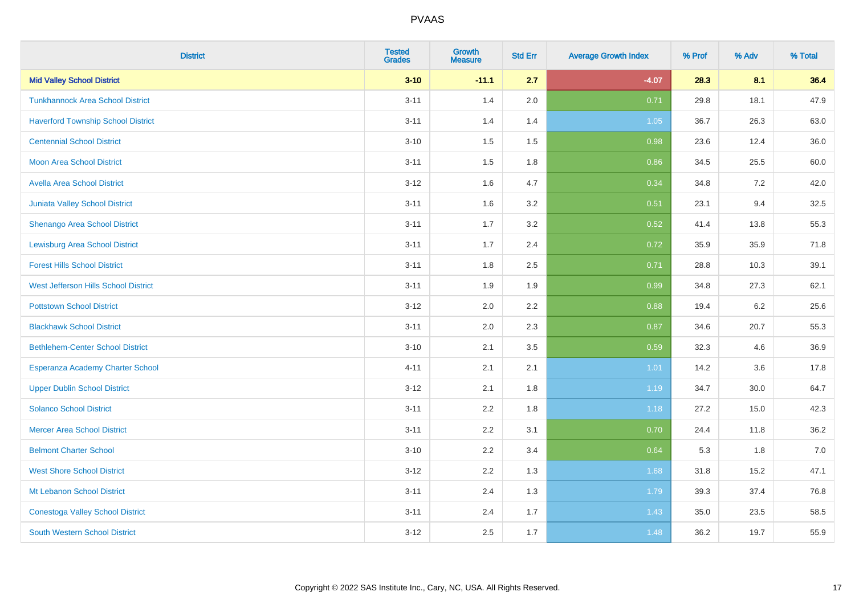| <b>District</b>                           | <b>Tested</b><br><b>Grades</b> | Growth<br><b>Measure</b> | <b>Std Err</b> | <b>Average Growth Index</b> | % Prof | % Adv | % Total |
|-------------------------------------------|--------------------------------|--------------------------|----------------|-----------------------------|--------|-------|---------|
| <b>Mid Valley School District</b>         | $3 - 10$                       | $-11.1$                  | 2.7            | $-4.07$                     | 28.3   | 8.1   | 36.4    |
| <b>Tunkhannock Area School District</b>   | $3 - 11$                       | 1.4                      | 2.0            | 0.71                        | 29.8   | 18.1  | 47.9    |
| <b>Haverford Township School District</b> | $3 - 11$                       | 1.4                      | 1.4            | 1.05                        | 36.7   | 26.3  | 63.0    |
| <b>Centennial School District</b>         | $3 - 10$                       | 1.5                      | 1.5            | 0.98                        | 23.6   | 12.4  | 36.0    |
| <b>Moon Area School District</b>          | $3 - 11$                       | 1.5                      | 1.8            | 0.86                        | 34.5   | 25.5  | 60.0    |
| <b>Avella Area School District</b>        | $3 - 12$                       | 1.6                      | 4.7            | 0.34                        | 34.8   | 7.2   | 42.0    |
| Juniata Valley School District            | $3 - 11$                       | 1.6                      | 3.2            | 0.51                        | 23.1   | 9.4   | 32.5    |
| Shenango Area School District             | $3 - 11$                       | 1.7                      | 3.2            | 0.52                        | 41.4   | 13.8  | 55.3    |
| <b>Lewisburg Area School District</b>     | $3 - 11$                       | 1.7                      | 2.4            | 0.72                        | 35.9   | 35.9  | 71.8    |
| <b>Forest Hills School District</b>       | $3 - 11$                       | 1.8                      | $2.5\,$        | 0.71                        | 28.8   | 10.3  | 39.1    |
| West Jefferson Hills School District      | $3 - 11$                       | 1.9                      | 1.9            | 0.99                        | 34.8   | 27.3  | 62.1    |
| <b>Pottstown School District</b>          | $3 - 12$                       | 2.0                      | 2.2            | 0.88                        | 19.4   | 6.2   | 25.6    |
| <b>Blackhawk School District</b>          | $3 - 11$                       | 2.0                      | 2.3            | 0.87                        | 34.6   | 20.7  | 55.3    |
| <b>Bethlehem-Center School District</b>   | $3 - 10$                       | 2.1                      | 3.5            | 0.59                        | 32.3   | 4.6   | 36.9    |
| Esperanza Academy Charter School          | $4 - 11$                       | 2.1                      | 2.1            | 1.01                        | 14.2   | 3.6   | 17.8    |
| <b>Upper Dublin School District</b>       | $3 - 12$                       | 2.1                      | 1.8            | 1.19                        | 34.7   | 30.0  | 64.7    |
| <b>Solanco School District</b>            | $3 - 11$                       | 2.2                      | 1.8            | 1.18                        | 27.2   | 15.0  | 42.3    |
| <b>Mercer Area School District</b>        | $3 - 11$                       | 2.2                      | 3.1            | 0.70                        | 24.4   | 11.8  | 36.2    |
| <b>Belmont Charter School</b>             | $3 - 10$                       | 2.2                      | 3.4            | 0.64                        | 5.3    | 1.8   | 7.0     |
| <b>West Shore School District</b>         | $3 - 12$                       | 2.2                      | 1.3            | 1.68                        | 31.8   | 15.2  | 47.1    |
| Mt Lebanon School District                | $3 - 11$                       | 2.4                      | 1.3            | 1.79                        | 39.3   | 37.4  | 76.8    |
| <b>Conestoga Valley School District</b>   | $3 - 11$                       | 2.4                      | 1.7            | 1.43                        | 35.0   | 23.5  | 58.5    |
| <b>South Western School District</b>      | $3 - 12$                       | 2.5                      | 1.7            | 1.48                        | 36.2   | 19.7  | 55.9    |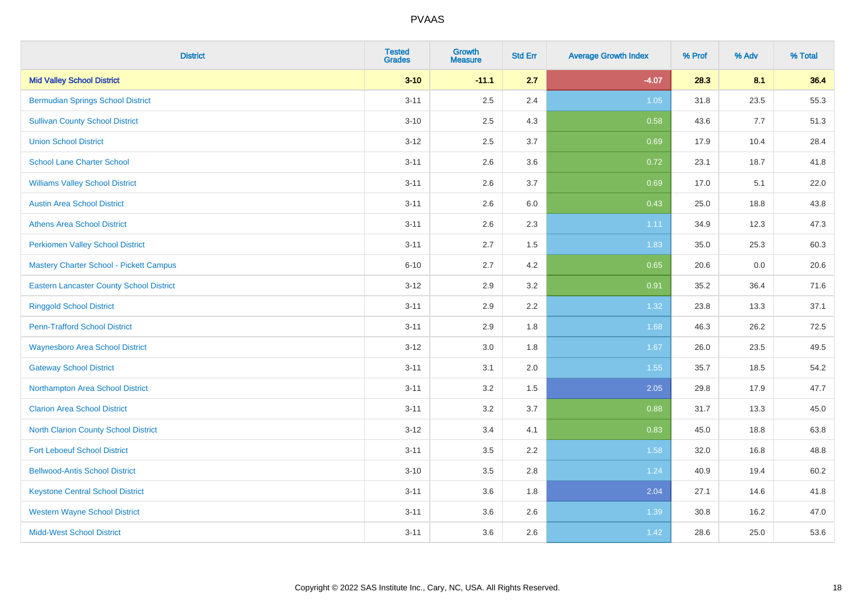| <b>District</b>                                 | <b>Tested</b><br><b>Grades</b> | Growth<br><b>Measure</b> | <b>Std Err</b> | <b>Average Growth Index</b> | % Prof | % Adv | % Total |
|-------------------------------------------------|--------------------------------|--------------------------|----------------|-----------------------------|--------|-------|---------|
| <b>Mid Valley School District</b>               | $3 - 10$                       | $-11.1$                  | 2.7            | $-4.07$                     | 28.3   | 8.1   | 36.4    |
| <b>Bermudian Springs School District</b>        | $3 - 11$                       | 2.5                      | 2.4            | $1.05$                      | 31.8   | 23.5  | 55.3    |
| <b>Sullivan County School District</b>          | $3 - 10$                       | 2.5                      | 4.3            | 0.58                        | 43.6   | 7.7   | 51.3    |
| <b>Union School District</b>                    | $3 - 12$                       | 2.5                      | 3.7            | 0.69                        | 17.9   | 10.4  | 28.4    |
| <b>School Lane Charter School</b>               | $3 - 11$                       | 2.6                      | 3.6            | 0.72                        | 23.1   | 18.7  | 41.8    |
| <b>Williams Valley School District</b>          | $3 - 11$                       | 2.6                      | 3.7            | 0.69                        | 17.0   | 5.1   | 22.0    |
| <b>Austin Area School District</b>              | $3 - 11$                       | 2.6                      | 6.0            | 0.43                        | 25.0   | 18.8  | 43.8    |
| <b>Athens Area School District</b>              | $3 - 11$                       | 2.6                      | 2.3            | 1.11                        | 34.9   | 12.3  | 47.3    |
| <b>Perkiomen Valley School District</b>         | $3 - 11$                       | 2.7                      | 1.5            | 1.83                        | 35.0   | 25.3  | 60.3    |
| <b>Mastery Charter School - Pickett Campus</b>  | $6 - 10$                       | 2.7                      | 4.2            | 0.65                        | 20.6   | 0.0   | 20.6    |
| <b>Eastern Lancaster County School District</b> | $3 - 12$                       | 2.9                      | 3.2            | 0.91                        | 35.2   | 36.4  | 71.6    |
| <b>Ringgold School District</b>                 | $3 - 11$                       | 2.9                      | 2.2            | 1.32                        | 23.8   | 13.3  | 37.1    |
| <b>Penn-Trafford School District</b>            | $3 - 11$                       | 2.9                      | 1.8            | 1.68                        | 46.3   | 26.2  | 72.5    |
| <b>Waynesboro Area School District</b>          | $3 - 12$                       | 3.0                      | 1.8            | 1.67                        | 26.0   | 23.5  | 49.5    |
| <b>Gateway School District</b>                  | $3 - 11$                       | 3.1                      | 2.0            | 1.55                        | 35.7   | 18.5  | 54.2    |
| Northampton Area School District                | $3 - 11$                       | 3.2                      | 1.5            | 2.05                        | 29.8   | 17.9  | 47.7    |
| <b>Clarion Area School District</b>             | $3 - 11$                       | 3.2                      | 3.7            | 0.88                        | 31.7   | 13.3  | 45.0    |
| North Clarion County School District            | $3 - 12$                       | 3.4                      | 4.1            | 0.83                        | 45.0   | 18.8  | 63.8    |
| <b>Fort Leboeuf School District</b>             | $3 - 11$                       | 3.5                      | 2.2            | 1.58                        | 32.0   | 16.8  | 48.8    |
| <b>Bellwood-Antis School District</b>           | $3 - 10$                       | 3.5                      | 2.8            | 1.24                        | 40.9   | 19.4  | 60.2    |
| <b>Keystone Central School District</b>         | $3 - 11$                       | 3.6                      | 1.8            | 2.04                        | 27.1   | 14.6  | 41.8    |
| <b>Western Wayne School District</b>            | $3 - 11$                       | 3.6                      | 2.6            | 1.39                        | 30.8   | 16.2  | 47.0    |
| <b>Midd-West School District</b>                | $3 - 11$                       | 3.6                      | 2.6            | 1.42                        | 28.6   | 25.0  | 53.6    |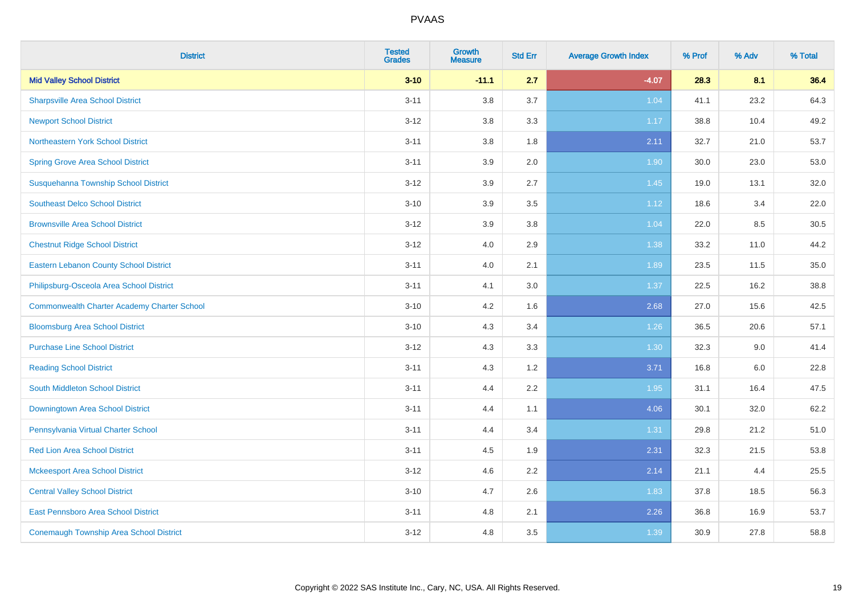| <b>District</b>                                    | <b>Tested</b><br><b>Grades</b> | <b>Growth</b><br><b>Measure</b> | <b>Std Err</b> | <b>Average Growth Index</b> | % Prof | % Adv | % Total |
|----------------------------------------------------|--------------------------------|---------------------------------|----------------|-----------------------------|--------|-------|---------|
| <b>Mid Valley School District</b>                  | $3 - 10$                       | $-11.1$                         | 2.7            | $-4.07$                     | 28.3   | 8.1   | 36.4    |
| <b>Sharpsville Area School District</b>            | $3 - 11$                       | 3.8                             | 3.7            | 1.04                        | 41.1   | 23.2  | 64.3    |
| <b>Newport School District</b>                     | $3 - 12$                       | 3.8                             | 3.3            | 1.17                        | 38.8   | 10.4  | 49.2    |
| Northeastern York School District                  | $3 - 11$                       | 3.8                             | 1.8            | 2.11                        | 32.7   | 21.0  | 53.7    |
| <b>Spring Grove Area School District</b>           | $3 - 11$                       | 3.9                             | 2.0            | 1.90                        | 30.0   | 23.0  | 53.0    |
| Susquehanna Township School District               | $3 - 12$                       | 3.9                             | 2.7            | 1.45                        | 19.0   | 13.1  | 32.0    |
| <b>Southeast Delco School District</b>             | $3 - 10$                       | 3.9                             | 3.5            | 1.12                        | 18.6   | 3.4   | 22.0    |
| <b>Brownsville Area School District</b>            | $3 - 12$                       | 3.9                             | 3.8            | 1.04                        | 22.0   | 8.5   | 30.5    |
| <b>Chestnut Ridge School District</b>              | $3 - 12$                       | 4.0                             | 2.9            | 1.38                        | 33.2   | 11.0  | 44.2    |
| <b>Eastern Lebanon County School District</b>      | $3 - 11$                       | 4.0                             | 2.1            | 1.89                        | 23.5   | 11.5  | 35.0    |
| Philipsburg-Osceola Area School District           | $3 - 11$                       | 4.1                             | 3.0            | 1.37                        | 22.5   | 16.2  | 38.8    |
| <b>Commonwealth Charter Academy Charter School</b> | $3 - 10$                       | 4.2                             | 1.6            | 2.68                        | 27.0   | 15.6  | 42.5    |
| <b>Bloomsburg Area School District</b>             | $3 - 10$                       | 4.3                             | 3.4            | 1.26                        | 36.5   | 20.6  | 57.1    |
| <b>Purchase Line School District</b>               | $3 - 12$                       | 4.3                             | 3.3            | 1.30                        | 32.3   | 9.0   | 41.4    |
| <b>Reading School District</b>                     | $3 - 11$                       | 4.3                             | 1.2            | 3.71                        | 16.8   | 6.0   | 22.8    |
| South Middleton School District                    | $3 - 11$                       | 4.4                             | 2.2            | 1.95                        | 31.1   | 16.4  | 47.5    |
| <b>Downingtown Area School District</b>            | $3 - 11$                       | 4.4                             | 1.1            | 4.06                        | 30.1   | 32.0  | 62.2    |
| Pennsylvania Virtual Charter School                | $3 - 11$                       | 4.4                             | 3.4            | 1.31                        | 29.8   | 21.2  | 51.0    |
| <b>Red Lion Area School District</b>               | $3 - 11$                       | 4.5                             | 1.9            | 2.31                        | 32.3   | 21.5  | 53.8    |
| <b>Mckeesport Area School District</b>             | $3 - 12$                       | 4.6                             | 2.2            | 2.14                        | 21.1   | 4.4   | 25.5    |
| <b>Central Valley School District</b>              | $3 - 10$                       | 4.7                             | 2.6            | 1.83                        | 37.8   | 18.5  | 56.3    |
| East Pennsboro Area School District                | $3 - 11$                       | 4.8                             | 2.1            | 2.26                        | 36.8   | 16.9  | 53.7    |
| <b>Conemaugh Township Area School District</b>     | $3 - 12$                       | 4.8                             | 3.5            | 1.39                        | 30.9   | 27.8  | 58.8    |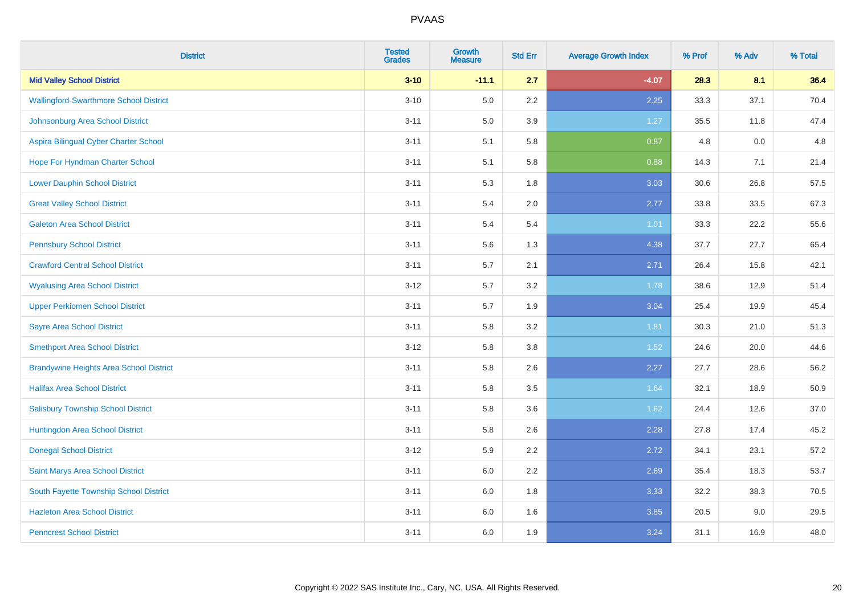| <b>District</b>                                | <b>Tested</b><br><b>Grades</b> | Growth<br><b>Measure</b> | <b>Std Err</b> | <b>Average Growth Index</b> | % Prof | % Adv | % Total |
|------------------------------------------------|--------------------------------|--------------------------|----------------|-----------------------------|--------|-------|---------|
| <b>Mid Valley School District</b>              | $3 - 10$                       | $-11.1$                  | 2.7            | $-4.07$                     | 28.3   | 8.1   | 36.4    |
| <b>Wallingford-Swarthmore School District</b>  | $3 - 10$                       | 5.0                      | 2.2            | 2.25                        | 33.3   | 37.1  | 70.4    |
| Johnsonburg Area School District               | $3 - 11$                       | 5.0                      | 3.9            | 1.27                        | 35.5   | 11.8  | 47.4    |
| Aspira Bilingual Cyber Charter School          | $3 - 11$                       | 5.1                      | 5.8            | 0.87                        | 4.8    | 0.0   | 4.8     |
| Hope For Hyndman Charter School                | $3 - 11$                       | 5.1                      | 5.8            | 0.88                        | 14.3   | 7.1   | 21.4    |
| <b>Lower Dauphin School District</b>           | $3 - 11$                       | 5.3                      | 1.8            | 3.03                        | 30.6   | 26.8  | 57.5    |
| <b>Great Valley School District</b>            | $3 - 11$                       | 5.4                      | 2.0            | 2.77                        | 33.8   | 33.5  | 67.3    |
| <b>Galeton Area School District</b>            | $3 - 11$                       | 5.4                      | 5.4            | 1.01                        | 33.3   | 22.2  | 55.6    |
| <b>Pennsbury School District</b>               | $3 - 11$                       | 5.6                      | 1.3            | 4.38                        | 37.7   | 27.7  | 65.4    |
| <b>Crawford Central School District</b>        | $3 - 11$                       | 5.7                      | 2.1            | 2.71                        | 26.4   | 15.8  | 42.1    |
| <b>Wyalusing Area School District</b>          | $3 - 12$                       | 5.7                      | 3.2            | 1.78                        | 38.6   | 12.9  | 51.4    |
| <b>Upper Perkiomen School District</b>         | $3 - 11$                       | 5.7                      | 1.9            | 3.04                        | 25.4   | 19.9  | 45.4    |
| <b>Sayre Area School District</b>              | $3 - 11$                       | 5.8                      | 3.2            | 1.81                        | 30.3   | 21.0  | 51.3    |
| <b>Smethport Area School District</b>          | $3 - 12$                       | 5.8                      | 3.8            | 1.52                        | 24.6   | 20.0  | 44.6    |
| <b>Brandywine Heights Area School District</b> | $3 - 11$                       | 5.8                      | 2.6            | 2.27                        | 27.7   | 28.6  | 56.2    |
| <b>Halifax Area School District</b>            | $3 - 11$                       | 5.8                      | 3.5            | 1.64                        | 32.1   | 18.9  | 50.9    |
| <b>Salisbury Township School District</b>      | $3 - 11$                       | 5.8                      | 3.6            | 1.62                        | 24.4   | 12.6  | 37.0    |
| Huntingdon Area School District                | $3 - 11$                       | 5.8                      | 2.6            | 2.28                        | 27.8   | 17.4  | 45.2    |
| <b>Donegal School District</b>                 | $3 - 12$                       | 5.9                      | 2.2            | 2.72                        | 34.1   | 23.1  | 57.2    |
| Saint Marys Area School District               | $3 - 11$                       | $6.0\,$                  | 2.2            | 2.69                        | 35.4   | 18.3  | 53.7    |
| South Fayette Township School District         | $3 - 11$                       | 6.0                      | 1.8            | 3.33                        | 32.2   | 38.3  | 70.5    |
| <b>Hazleton Area School District</b>           | $3 - 11$                       | $6.0\,$                  | 1.6            | 3.85                        | 20.5   | 9.0   | 29.5    |
| <b>Penncrest School District</b>               | $3 - 11$                       | 6.0                      | 1.9            | 3.24                        | 31.1   | 16.9  | 48.0    |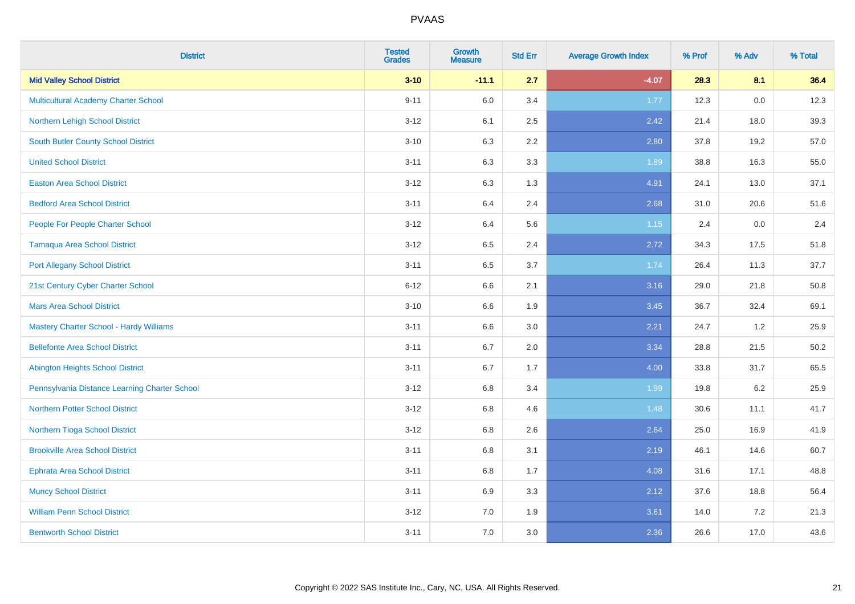| <b>District</b>                                | <b>Tested</b><br><b>Grades</b> | <b>Growth</b><br><b>Measure</b> | <b>Std Err</b> | <b>Average Growth Index</b> | % Prof | % Adv | % Total |
|------------------------------------------------|--------------------------------|---------------------------------|----------------|-----------------------------|--------|-------|---------|
| <b>Mid Valley School District</b>              | $3 - 10$                       | $-11.1$                         | 2.7            | $-4.07$                     | 28.3   | 8.1   | 36.4    |
| <b>Multicultural Academy Charter School</b>    | $9 - 11$                       | 6.0                             | 3.4            | 1.77                        | 12.3   | 0.0   | 12.3    |
| Northern Lehigh School District                | $3-12$                         | 6.1                             | 2.5            | 2.42                        | 21.4   | 18.0  | 39.3    |
| <b>South Butler County School District</b>     | $3 - 10$                       | 6.3                             | 2.2            | 2.80                        | 37.8   | 19.2  | 57.0    |
| <b>United School District</b>                  | $3 - 11$                       | 6.3                             | 3.3            | 1.89                        | 38.8   | 16.3  | 55.0    |
| <b>Easton Area School District</b>             | $3-12$                         | 6.3                             | 1.3            | 4.91                        | 24.1   | 13.0  | 37.1    |
| <b>Bedford Area School District</b>            | $3 - 11$                       | 6.4                             | 2.4            | 2.68                        | 31.0   | 20.6  | 51.6    |
| People For People Charter School               | $3 - 12$                       | 6.4                             | 5.6            | 1.15                        | 2.4    | 0.0   | 2.4     |
| <b>Tamaqua Area School District</b>            | $3-12$                         | 6.5                             | 2.4            | 2.72                        | 34.3   | 17.5  | 51.8    |
| <b>Port Allegany School District</b>           | $3 - 11$                       | 6.5                             | 3.7            | 1.74                        | 26.4   | 11.3  | 37.7    |
| 21st Century Cyber Charter School              | $6 - 12$                       | 6.6                             | 2.1            | 3.16                        | 29.0   | 21.8  | 50.8    |
| <b>Mars Area School District</b>               | $3 - 10$                       | 6.6                             | 1.9            | 3.45                        | 36.7   | 32.4  | 69.1    |
| <b>Mastery Charter School - Hardy Williams</b> | $3 - 11$                       | 6.6                             | 3.0            | 2.21                        | 24.7   | 1.2   | 25.9    |
| <b>Bellefonte Area School District</b>         | $3 - 11$                       | 6.7                             | 2.0            | 3.34                        | 28.8   | 21.5  | 50.2    |
| <b>Abington Heights School District</b>        | $3 - 11$                       | 6.7                             | 1.7            | 4.00                        | 33.8   | 31.7  | 65.5    |
| Pennsylvania Distance Learning Charter School  | $3 - 12$                       | 6.8                             | 3.4            | 1.99                        | 19.8   | 6.2   | 25.9    |
| <b>Northern Potter School District</b>         | $3-12$                         | 6.8                             | 4.6            | 1.48                        | 30.6   | 11.1  | 41.7    |
| Northern Tioga School District                 | $3-12$                         | 6.8                             | 2.6            | 2.64                        | 25.0   | 16.9  | 41.9    |
| <b>Brookville Area School District</b>         | $3 - 11$                       | 6.8                             | 3.1            | 2.19                        | 46.1   | 14.6  | 60.7    |
| <b>Ephrata Area School District</b>            | $3 - 11$                       | 6.8                             | 1.7            | 4.08                        | 31.6   | 17.1  | 48.8    |
| <b>Muncy School District</b>                   | $3 - 11$                       | 6.9                             | 3.3            | 2.12                        | 37.6   | 18.8  | 56.4    |
| <b>William Penn School District</b>            | $3 - 12$                       | 7.0                             | 1.9            | 3.61                        | 14.0   | 7.2   | 21.3    |
| <b>Bentworth School District</b>               | $3 - 11$                       | 7.0                             | 3.0            | 2.36                        | 26.6   | 17.0  | 43.6    |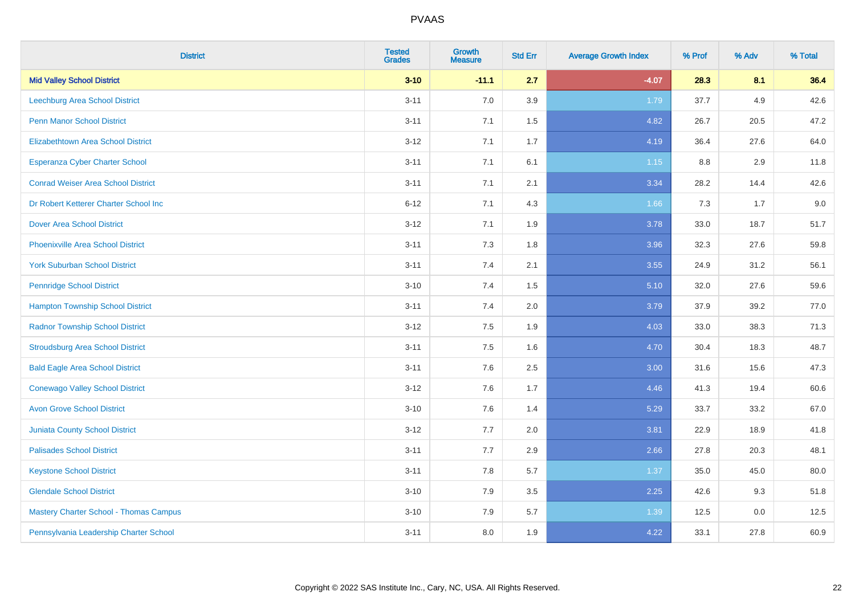| <b>District</b>                               | <b>Tested</b><br><b>Grades</b> | Growth<br><b>Measure</b> | <b>Std Err</b> | <b>Average Growth Index</b> | % Prof | % Adv | % Total |
|-----------------------------------------------|--------------------------------|--------------------------|----------------|-----------------------------|--------|-------|---------|
| <b>Mid Valley School District</b>             | $3 - 10$                       | $-11.1$                  | 2.7            | $-4.07$                     | 28.3   | 8.1   | 36.4    |
| <b>Leechburg Area School District</b>         | $3 - 11$                       | 7.0                      | 3.9            | 1.79                        | 37.7   | 4.9   | 42.6    |
| <b>Penn Manor School District</b>             | $3 - 11$                       | 7.1                      | 1.5            | 4.82                        | 26.7   | 20.5  | 47.2    |
| <b>Elizabethtown Area School District</b>     | $3 - 12$                       | 7.1                      | 1.7            | 4.19                        | 36.4   | 27.6  | 64.0    |
| <b>Esperanza Cyber Charter School</b>         | $3 - 11$                       | 7.1                      | 6.1            | 1.15                        | 8.8    | 2.9   | 11.8    |
| <b>Conrad Weiser Area School District</b>     | $3 - 11$                       | 7.1                      | 2.1            | 3.34                        | 28.2   | 14.4  | 42.6    |
| Dr Robert Ketterer Charter School Inc         | $6 - 12$                       | 7.1                      | 4.3            | 1.66                        | 7.3    | 1.7   | 9.0     |
| <b>Dover Area School District</b>             | $3 - 12$                       | 7.1                      | 1.9            | 3.78                        | 33.0   | 18.7  | 51.7    |
| <b>Phoenixville Area School District</b>      | $3 - 11$                       | 7.3                      | 1.8            | 3.96                        | 32.3   | 27.6  | 59.8    |
| <b>York Suburban School District</b>          | $3 - 11$                       | 7.4                      | 2.1            | 3.55                        | 24.9   | 31.2  | 56.1    |
| <b>Pennridge School District</b>              | $3 - 10$                       | 7.4                      | 1.5            | 5.10                        | 32.0   | 27.6  | 59.6    |
| <b>Hampton Township School District</b>       | $3 - 11$                       | 7.4                      | 2.0            | 3.79                        | 37.9   | 39.2  | 77.0    |
| <b>Radnor Township School District</b>        | $3 - 12$                       | 7.5                      | 1.9            | 4.03                        | 33.0   | 38.3  | 71.3    |
| <b>Stroudsburg Area School District</b>       | $3 - 11$                       | 7.5                      | 1.6            | 4.70                        | 30.4   | 18.3  | 48.7    |
| <b>Bald Eagle Area School District</b>        | $3 - 11$                       | 7.6                      | 2.5            | 3.00                        | 31.6   | 15.6  | 47.3    |
| <b>Conewago Valley School District</b>        | $3 - 12$                       | 7.6                      | 1.7            | 4.46                        | 41.3   | 19.4  | 60.6    |
| <b>Avon Grove School District</b>             | $3 - 10$                       | 7.6                      | 1.4            | 5.29                        | 33.7   | 33.2  | 67.0    |
| <b>Juniata County School District</b>         | $3 - 12$                       | 7.7                      | 2.0            | 3.81                        | 22.9   | 18.9  | 41.8    |
| <b>Palisades School District</b>              | $3 - 11$                       | 7.7                      | 2.9            | 2.66                        | 27.8   | 20.3  | 48.1    |
| <b>Keystone School District</b>               | $3 - 11$                       | 7.8                      | 5.7            | 1.37                        | 35.0   | 45.0  | 80.0    |
| <b>Glendale School District</b>               | $3 - 10$                       | 7.9                      | 3.5            | 2.25                        | 42.6   | 9.3   | 51.8    |
| <b>Mastery Charter School - Thomas Campus</b> | $3 - 10$                       | 7.9                      | 5.7            | 1.39                        | 12.5   | 0.0   | 12.5    |
| Pennsylvania Leadership Charter School        | $3 - 11$                       | 8.0                      | 1.9            | 4.22                        | 33.1   | 27.8  | 60.9    |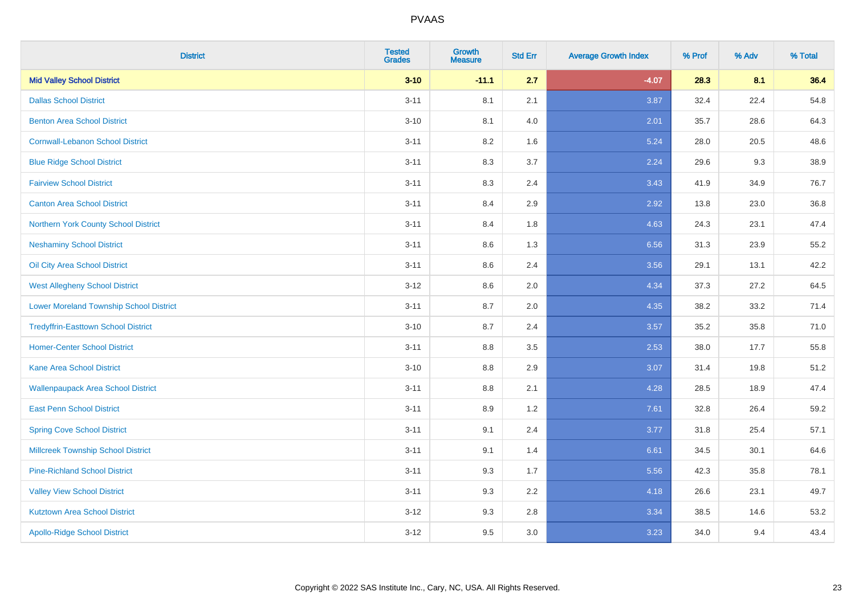| <b>District</b>                                | <b>Tested</b><br><b>Grades</b> | <b>Growth</b><br><b>Measure</b> | <b>Std Err</b> | <b>Average Growth Index</b> | % Prof | % Adv | % Total |
|------------------------------------------------|--------------------------------|---------------------------------|----------------|-----------------------------|--------|-------|---------|
| <b>Mid Valley School District</b>              | $3 - 10$                       | $-11.1$                         | 2.7            | $-4.07$                     | 28.3   | 8.1   | 36.4    |
| <b>Dallas School District</b>                  | $3 - 11$                       | 8.1                             | 2.1            | 3.87                        | 32.4   | 22.4  | 54.8    |
| <b>Benton Area School District</b>             | $3 - 10$                       | 8.1                             | 4.0            | 2.01                        | 35.7   | 28.6  | 64.3    |
| <b>Cornwall-Lebanon School District</b>        | $3 - 11$                       | 8.2                             | 1.6            | 5.24                        | 28.0   | 20.5  | 48.6    |
| <b>Blue Ridge School District</b>              | $3 - 11$                       | 8.3                             | 3.7            | 2.24                        | 29.6   | 9.3   | 38.9    |
| <b>Fairview School District</b>                | $3 - 11$                       | 8.3                             | 2.4            | 3.43                        | 41.9   | 34.9  | 76.7    |
| <b>Canton Area School District</b>             | $3 - 11$                       | 8.4                             | 2.9            | 2.92                        | 13.8   | 23.0  | 36.8    |
| Northern York County School District           | $3 - 11$                       | 8.4                             | 1.8            | 4.63                        | 24.3   | 23.1  | 47.4    |
| <b>Neshaminy School District</b>               | $3 - 11$                       | 8.6                             | 1.3            | 6.56                        | 31.3   | 23.9  | 55.2    |
| Oil City Area School District                  | $3 - 11$                       | 8.6                             | 2.4            | 3.56                        | 29.1   | 13.1  | 42.2    |
| <b>West Allegheny School District</b>          | $3 - 12$                       | 8.6                             | 2.0            | 4.34                        | 37.3   | 27.2  | 64.5    |
| <b>Lower Moreland Township School District</b> | $3 - 11$                       | 8.7                             | 2.0            | 4.35                        | 38.2   | 33.2  | 71.4    |
| <b>Tredyffrin-Easttown School District</b>     | $3 - 10$                       | 8.7                             | 2.4            | 3.57                        | 35.2   | 35.8  | 71.0    |
| <b>Homer-Center School District</b>            | $3 - 11$                       | 8.8                             | 3.5            | 2.53                        | 38.0   | 17.7  | 55.8    |
| <b>Kane Area School District</b>               | $3 - 10$                       | 8.8                             | 2.9            | 3.07                        | 31.4   | 19.8  | 51.2    |
| <b>Wallenpaupack Area School District</b>      | $3 - 11$                       | $8.8\,$                         | 2.1            | 4.28                        | 28.5   | 18.9  | 47.4    |
| <b>East Penn School District</b>               | $3 - 11$                       | 8.9                             | 1.2            | 7.61                        | 32.8   | 26.4  | 59.2    |
| <b>Spring Cove School District</b>             | $3 - 11$                       | 9.1                             | 2.4            | 3.77                        | 31.8   | 25.4  | 57.1    |
| <b>Millcreek Township School District</b>      | $3 - 11$                       | 9.1                             | 1.4            | 6.61                        | 34.5   | 30.1  | 64.6    |
| <b>Pine-Richland School District</b>           | $3 - 11$                       | 9.3                             | 1.7            | 5.56                        | 42.3   | 35.8  | 78.1    |
| <b>Valley View School District</b>             | $3 - 11$                       | 9.3                             | 2.2            | 4.18                        | 26.6   | 23.1  | 49.7    |
| <b>Kutztown Area School District</b>           | $3 - 12$                       | 9.3                             | 2.8            | 3.34                        | 38.5   | 14.6  | 53.2    |
| <b>Apollo-Ridge School District</b>            | $3 - 12$                       | 9.5                             | 3.0            | 3.23                        | 34.0   | 9.4   | 43.4    |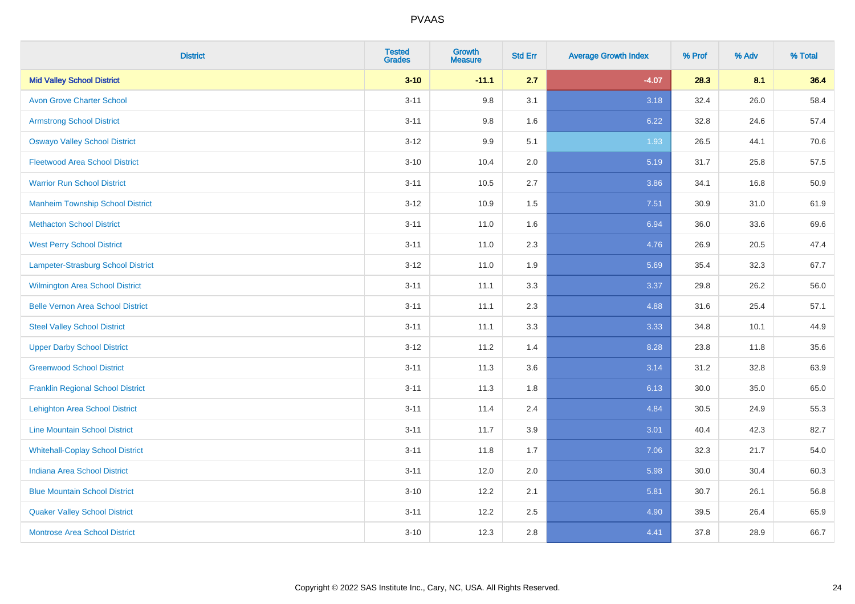| <b>District</b>                          | <b>Tested</b><br><b>Grades</b> | <b>Growth</b><br><b>Measure</b> | <b>Std Err</b> | <b>Average Growth Index</b> | % Prof | % Adv | % Total |
|------------------------------------------|--------------------------------|---------------------------------|----------------|-----------------------------|--------|-------|---------|
| <b>Mid Valley School District</b>        | $3 - 10$                       | $-11.1$                         | 2.7            | $-4.07$                     | 28.3   | 8.1   | 36.4    |
| <b>Avon Grove Charter School</b>         | $3 - 11$                       | 9.8                             | 3.1            | 3.18                        | 32.4   | 26.0  | 58.4    |
| <b>Armstrong School District</b>         | $3 - 11$                       | 9.8                             | 1.6            | 6.22                        | 32.8   | 24.6  | 57.4    |
| <b>Oswayo Valley School District</b>     | $3 - 12$                       | 9.9                             | 5.1            | 1.93                        | 26.5   | 44.1  | 70.6    |
| <b>Fleetwood Area School District</b>    | $3 - 10$                       | 10.4                            | 2.0            | 5.19                        | 31.7   | 25.8  | 57.5    |
| <b>Warrior Run School District</b>       | $3 - 11$                       | 10.5                            | 2.7            | 3.86                        | 34.1   | 16.8  | 50.9    |
| <b>Manheim Township School District</b>  | $3 - 12$                       | 10.9                            | 1.5            | 7.51                        | 30.9   | 31.0  | 61.9    |
| <b>Methacton School District</b>         | $3 - 11$                       | 11.0                            | 1.6            | 6.94                        | 36.0   | 33.6  | 69.6    |
| <b>West Perry School District</b>        | $3 - 11$                       | 11.0                            | 2.3            | 4.76                        | 26.9   | 20.5  | 47.4    |
| Lampeter-Strasburg School District       | $3 - 12$                       | 11.0                            | 1.9            | 5.69                        | 35.4   | 32.3  | 67.7    |
| Wilmington Area School District          | $3 - 11$                       | 11.1                            | 3.3            | 3.37                        | 29.8   | 26.2  | 56.0    |
| <b>Belle Vernon Area School District</b> | $3 - 11$                       | 11.1                            | 2.3            | 4.88                        | 31.6   | 25.4  | 57.1    |
| <b>Steel Valley School District</b>      | $3 - 11$                       | 11.1                            | 3.3            | 3.33                        | 34.8   | 10.1  | 44.9    |
| <b>Upper Darby School District</b>       | $3-12$                         | 11.2                            | 1.4            | 8.28                        | 23.8   | 11.8  | 35.6    |
| <b>Greenwood School District</b>         | $3 - 11$                       | 11.3                            | 3.6            | 3.14                        | 31.2   | 32.8  | 63.9    |
| <b>Franklin Regional School District</b> | $3 - 11$                       | 11.3                            | 1.8            | 6.13                        | 30.0   | 35.0  | 65.0    |
| <b>Lehighton Area School District</b>    | $3 - 11$                       | 11.4                            | 2.4            | 4.84                        | 30.5   | 24.9  | 55.3    |
| <b>Line Mountain School District</b>     | $3 - 11$                       | 11.7                            | 3.9            | 3.01                        | 40.4   | 42.3  | 82.7    |
| <b>Whitehall-Coplay School District</b>  | $3 - 11$                       | 11.8                            | 1.7            | 7.06                        | 32.3   | 21.7  | 54.0    |
| <b>Indiana Area School District</b>      | $3 - 11$                       | 12.0                            | 2.0            | 5.98                        | 30.0   | 30.4  | 60.3    |
| <b>Blue Mountain School District</b>     | $3 - 10$                       | 12.2                            | 2.1            | 5.81                        | 30.7   | 26.1  | 56.8    |
| <b>Quaker Valley School District</b>     | $3 - 11$                       | 12.2                            | 2.5            | 4.90                        | 39.5   | 26.4  | 65.9    |
| <b>Montrose Area School District</b>     | $3 - 10$                       | 12.3                            | 2.8            | 4.41                        | 37.8   | 28.9  | 66.7    |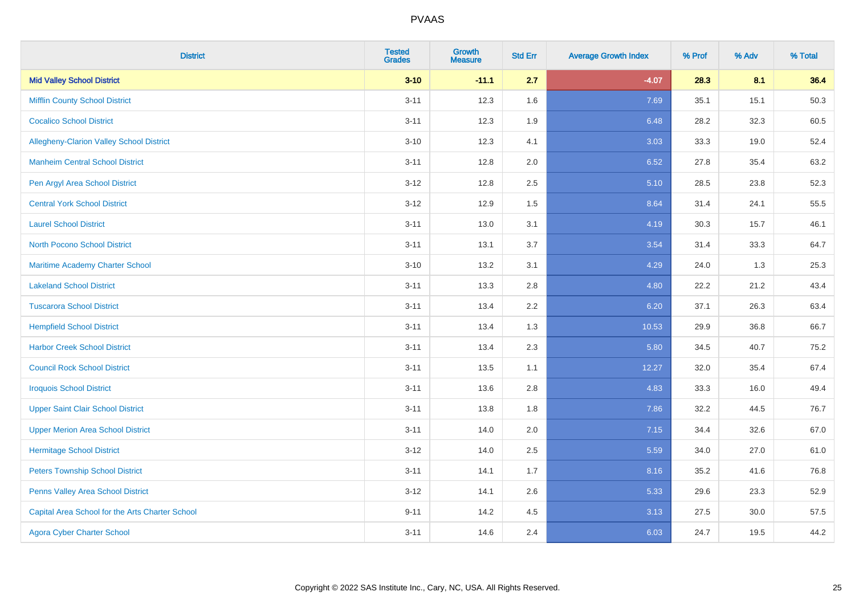| <b>District</b>                                 | <b>Tested</b><br><b>Grades</b> | Growth<br><b>Measure</b> | <b>Std Err</b> | <b>Average Growth Index</b> | % Prof | % Adv | % Total |
|-------------------------------------------------|--------------------------------|--------------------------|----------------|-----------------------------|--------|-------|---------|
| <b>Mid Valley School District</b>               | $3 - 10$                       | $-11.1$                  | 2.7            | $-4.07$                     | 28.3   | 8.1   | 36.4    |
| <b>Mifflin County School District</b>           | $3 - 11$                       | 12.3                     | 1.6            | 7.69                        | 35.1   | 15.1  | 50.3    |
| <b>Cocalico School District</b>                 | $3 - 11$                       | 12.3                     | 1.9            | 6.48                        | 28.2   | 32.3  | 60.5    |
| Allegheny-Clarion Valley School District        | $3 - 10$                       | 12.3                     | 4.1            | 3.03                        | 33.3   | 19.0  | 52.4    |
| <b>Manheim Central School District</b>          | $3 - 11$                       | 12.8                     | 2.0            | 6.52                        | 27.8   | 35.4  | 63.2    |
| Pen Argyl Area School District                  | $3 - 12$                       | 12.8                     | 2.5            | 5.10                        | 28.5   | 23.8  | 52.3    |
| <b>Central York School District</b>             | $3 - 12$                       | 12.9                     | 1.5            | 8.64                        | 31.4   | 24.1  | 55.5    |
| <b>Laurel School District</b>                   | $3 - 11$                       | 13.0                     | 3.1            | 4.19                        | 30.3   | 15.7  | 46.1    |
| <b>North Pocono School District</b>             | $3 - 11$                       | 13.1                     | 3.7            | 3.54                        | 31.4   | 33.3  | 64.7    |
| Maritime Academy Charter School                 | $3 - 10$                       | 13.2                     | 3.1            | 4.29                        | 24.0   | 1.3   | 25.3    |
| <b>Lakeland School District</b>                 | $3 - 11$                       | 13.3                     | 2.8            | 4.80                        | 22.2   | 21.2  | 43.4    |
| <b>Tuscarora School District</b>                | $3 - 11$                       | 13.4                     | 2.2            | 6.20                        | 37.1   | 26.3  | 63.4    |
| <b>Hempfield School District</b>                | $3 - 11$                       | 13.4                     | 1.3            | 10.53                       | 29.9   | 36.8  | 66.7    |
| <b>Harbor Creek School District</b>             | $3 - 11$                       | 13.4                     | 2.3            | 5.80                        | 34.5   | 40.7  | 75.2    |
| <b>Council Rock School District</b>             | $3 - 11$                       | 13.5                     | 1.1            | 12.27                       | 32.0   | 35.4  | 67.4    |
| <b>Iroquois School District</b>                 | $3 - 11$                       | 13.6                     | 2.8            | 4.83                        | 33.3   | 16.0  | 49.4    |
| <b>Upper Saint Clair School District</b>        | $3 - 11$                       | 13.8                     | 1.8            | 7.86                        | 32.2   | 44.5  | 76.7    |
| <b>Upper Merion Area School District</b>        | $3 - 11$                       | 14.0                     | 2.0            | 7.15                        | 34.4   | 32.6  | 67.0    |
| <b>Hermitage School District</b>                | $3 - 12$                       | 14.0                     | 2.5            | 5.59                        | 34.0   | 27.0  | 61.0    |
| <b>Peters Township School District</b>          | $3 - 11$                       | 14.1                     | 1.7            | 8.16                        | 35.2   | 41.6  | 76.8    |
| Penns Valley Area School District               | $3 - 12$                       | 14.1                     | 2.6            | 5.33                        | 29.6   | 23.3  | 52.9    |
| Capital Area School for the Arts Charter School | $9 - 11$                       | 14.2                     | 4.5            | 3.13                        | 27.5   | 30.0  | 57.5    |
| <b>Agora Cyber Charter School</b>               | $3 - 11$                       | 14.6                     | 2.4            | 6.03                        | 24.7   | 19.5  | 44.2    |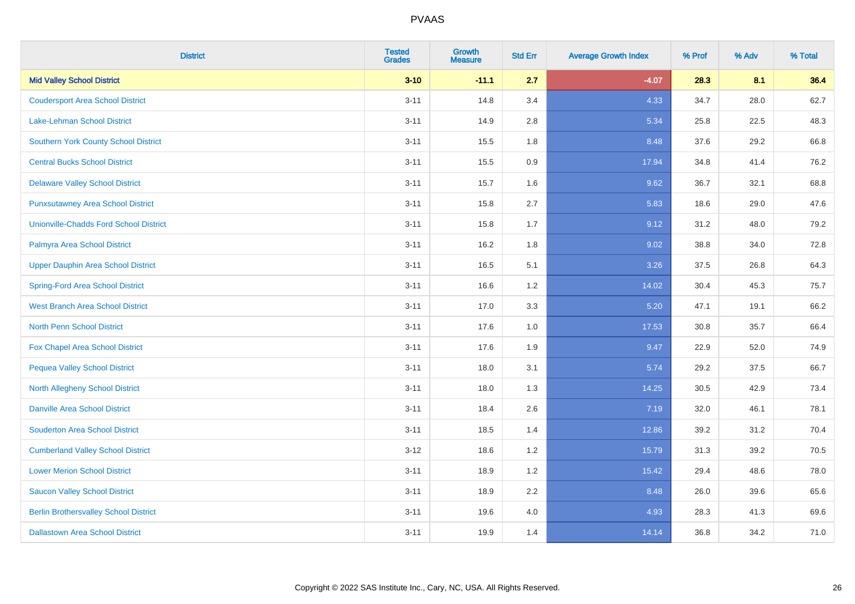| <b>District</b>                               | <b>Tested</b><br><b>Grades</b> | <b>Growth</b><br><b>Measure</b> | <b>Std Err</b> | <b>Average Growth Index</b> | % Prof | % Adv | % Total |
|-----------------------------------------------|--------------------------------|---------------------------------|----------------|-----------------------------|--------|-------|---------|
| <b>Mid Valley School District</b>             | $3 - 10$                       | $-11.1$                         | 2.7            | $-4.07$                     | 28.3   | 8.1   | 36.4    |
| <b>Coudersport Area School District</b>       | $3 - 11$                       | 14.8                            | 3.4            | 4.33                        | 34.7   | 28.0  | 62.7    |
| Lake-Lehman School District                   | $3 - 11$                       | 14.9                            | 2.8            | 5.34                        | 25.8   | 22.5  | 48.3    |
| <b>Southern York County School District</b>   | $3 - 11$                       | 15.5                            | 1.8            | 8.48                        | 37.6   | 29.2  | 66.8    |
| <b>Central Bucks School District</b>          | $3 - 11$                       | 15.5                            | 0.9            | 17.94                       | 34.8   | 41.4  | 76.2    |
| <b>Delaware Valley School District</b>        | $3 - 11$                       | 15.7                            | 1.6            | 9.62                        | 36.7   | 32.1  | 68.8    |
| <b>Punxsutawney Area School District</b>      | $3 - 11$                       | 15.8                            | 2.7            | 5.83                        | 18.6   | 29.0  | 47.6    |
| <b>Unionville-Chadds Ford School District</b> | $3 - 11$                       | 15.8                            | 1.7            | 9.12                        | 31.2   | 48.0  | 79.2    |
| Palmyra Area School District                  | $3 - 11$                       | 16.2                            | 1.8            | 9.02                        | 38.8   | 34.0  | 72.8    |
| <b>Upper Dauphin Area School District</b>     | $3 - 11$                       | 16.5                            | 5.1            | 3.26                        | 37.5   | 26.8  | 64.3    |
| <b>Spring-Ford Area School District</b>       | $3 - 11$                       | 16.6                            | 1.2            | 14.02                       | 30.4   | 45.3  | 75.7    |
| <b>West Branch Area School District</b>       | $3 - 11$                       | 17.0                            | 3.3            | 5.20                        | 47.1   | 19.1  | 66.2    |
| North Penn School District                    | $3 - 11$                       | 17.6                            | 1.0            | 17.53                       | 30.8   | 35.7  | 66.4    |
| <b>Fox Chapel Area School District</b>        | $3 - 11$                       | 17.6                            | 1.9            | 9.47                        | 22.9   | 52.0  | 74.9    |
| <b>Pequea Valley School District</b>          | $3 - 11$                       | 18.0                            | 3.1            | 5.74                        | 29.2   | 37.5  | 66.7    |
| North Allegheny School District               | $3 - 11$                       | 18.0                            | 1.3            | 14.25                       | 30.5   | 42.9  | 73.4    |
| <b>Danville Area School District</b>          | $3 - 11$                       | 18.4                            | 2.6            | 7.19                        | 32.0   | 46.1  | 78.1    |
| <b>Souderton Area School District</b>         | $3 - 11$                       | 18.5                            | 1.4            | 12.86                       | 39.2   | 31.2  | 70.4    |
| <b>Cumberland Valley School District</b>      | $3 - 12$                       | 18.6                            | 1.2            | 15.79                       | 31.3   | 39.2  | 70.5    |
| <b>Lower Merion School District</b>           | $3 - 11$                       | 18.9                            | 1.2            | 15.42                       | 29.4   | 48.6  | 78.0    |
| <b>Saucon Valley School District</b>          | $3 - 11$                       | 18.9                            | 2.2            | 8.48                        | 26.0   | 39.6  | 65.6    |
| <b>Berlin Brothersvalley School District</b>  | $3 - 11$                       | 19.6                            | 4.0            | 4.93                        | 28.3   | 41.3  | 69.6    |
| <b>Dallastown Area School District</b>        | $3 - 11$                       | 19.9                            | 1.4            | 14.14                       | 36.8   | 34.2  | 71.0    |